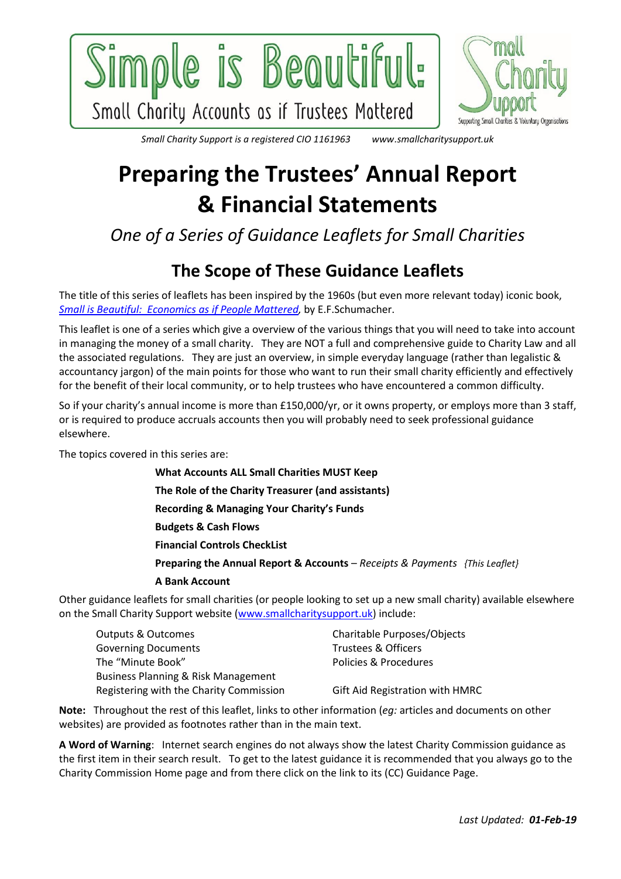



www.smallcharitysupport.uk *Small Charity Support is a registered CIO 1161963* 

# **Preparing the Trustees' Annual Report & Financial Statements**

*One of a Series of Guidance Leaflets for Small Charities*

# **The Scope of These Guidance Leaflets**

The title of this series of leaflets has been inspired by the 1960s (but even more relevant today) iconic book, *[Small is Beautiful: Economics as if People Mattered,](https://www.theguardian.com/commentisfree/2011/nov/10/small-is-beautiful-economic-idea)* by E.F.Schumacher.

This leaflet is one of a series which give a overview of the various things that you will need to take into account in managing the money of a small charity. They are NOT a full and comprehensive guide to Charity Law and all the associated regulations. They are just an overview, in simple everyday language (rather than legalistic & accountancy jargon) of the main points for those who want to run their small charity efficiently and effectively for the benefit of their local community, or to help trustees who have encountered a common difficulty.

So if your charity's annual income is more than £150,000/yr, or it owns property, or employs more than 3 staff, or is required to produce accruals accounts then you will probably need to seek professional guidance elsewhere.

The topics covered in this series are:

**What Accounts ALL Small Charities MUST Keep**

**The Role of the Charity Treasurer (and assistants)**

**Recording & Managing Your Charity's Funds**

**Budgets & Cash Flows**

**Financial Controls CheckList**

**Preparing the Annual Report & Accounts** – *Receipts & Payments {This Leaflet}*

#### **A Bank Account**

Other guidance leaflets for small charities (or people looking to set up a new small charity) available elsewhere on the Small Charity Support website [\(www.smallcharitysupport.uk\)](http://www.smallcharitysupport.uk/) include:

| Outputs & Outcomes                      | Charitable Purposes/Objects     |  |
|-----------------------------------------|---------------------------------|--|
| <b>Governing Documents</b>              | <b>Trustees &amp; Officers</b>  |  |
| The "Minute Book"                       | Policies & Procedures           |  |
| Business Planning & Risk Management     |                                 |  |
| Registering with the Charity Commission | Gift Aid Registration with HMRC |  |

**Note:** Throughout the rest of this leaflet, links to other information (*eg:* articles and documents on other websites) are provided as footnotes rather than in the main text.

**A Word of Warning**: Internet search engines do not always show the latest Charity Commission guidance as the first item in their search result. To get to the latest guidance it is recommended that you always go to the Charity Commission Home page and from there click on the link to its (CC) Guidance Page.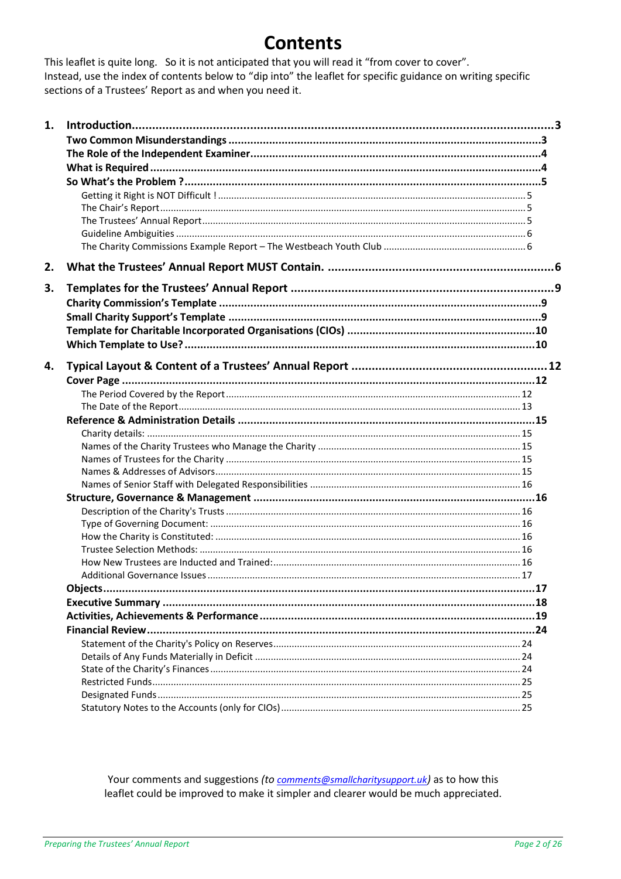# **Contents**

This leaflet is quite long. So it is not anticipated that you will read it "from cover to cover". Instead, use the index of contents below to "dip into" the leaflet for specific guidance on writing specific sections of a Trustees' Report as and when you need it.

| 1. |  |  |  |
|----|--|--|--|
|    |  |  |  |
|    |  |  |  |
|    |  |  |  |
|    |  |  |  |
|    |  |  |  |
|    |  |  |  |
|    |  |  |  |
|    |  |  |  |
|    |  |  |  |
| 2. |  |  |  |
| 3. |  |  |  |
|    |  |  |  |
|    |  |  |  |
|    |  |  |  |
|    |  |  |  |
| 4. |  |  |  |
|    |  |  |  |
|    |  |  |  |
|    |  |  |  |
|    |  |  |  |
|    |  |  |  |
|    |  |  |  |
|    |  |  |  |
|    |  |  |  |
|    |  |  |  |
|    |  |  |  |
|    |  |  |  |
|    |  |  |  |
|    |  |  |  |
|    |  |  |  |
|    |  |  |  |
|    |  |  |  |
|    |  |  |  |
|    |  |  |  |
|    |  |  |  |
|    |  |  |  |
|    |  |  |  |
|    |  |  |  |
|    |  |  |  |
|    |  |  |  |
|    |  |  |  |
|    |  |  |  |

Your comments and suggestions (to comments@smallcharitysupport.uk) as to how this leaflet could be improved to make it simpler and clearer would be much appreciated.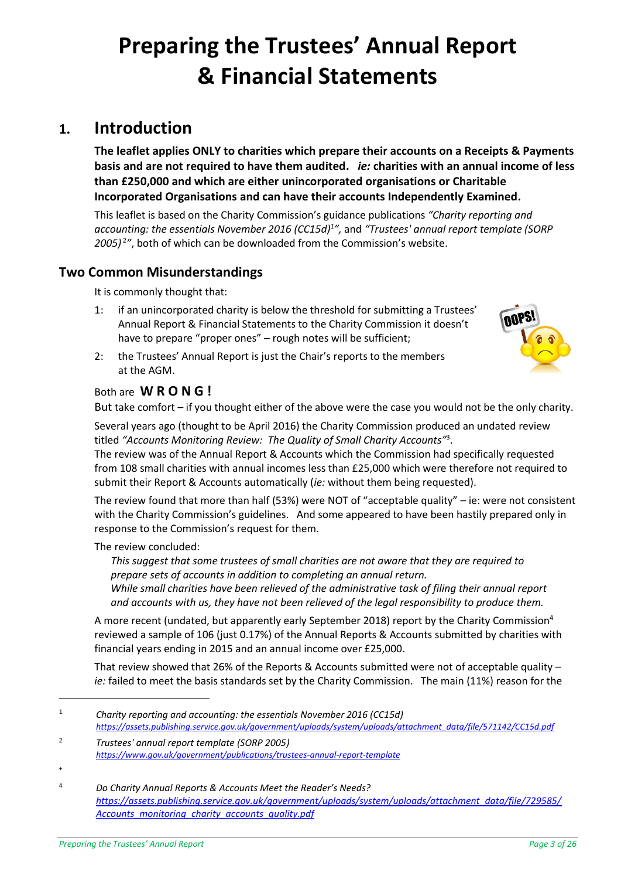# **Preparing the Trustees' Annual Report & Financial Statements**

# <span id="page-2-0"></span>**1. Introduction**

**The leaflet applies ONLY to charities which prepare their accounts on a Receipts & Payments basis and are not required to have them audited.** *ie:* **charities with an annual income of less than £250,000 and which are either unincorporated organisations or Charitable Incorporated Organisations and can have their accounts Independently Examined.**

This leaflet is based on the Charity Commission's guidance publications *"Charity reporting and accounting: the essentials November 2016 (CC15d)<sup>1</sup> ",* and *"Trustees' annual report template (SORP 2005)* <sup>2</sup> *"*, both of which can be downloaded from the Commission's website.

# <span id="page-2-1"></span>**Two Common Misunderstandings**

It is commonly thought that:

1: if an unincorporated charity is below the threshold for submitting a Trustees' Annual Report & Financial Statements to the Charity Commission it doesn't have to prepare "proper ones" – rough notes will be sufficient;

<span id="page-2-3"></span><span id="page-2-2"></span>

2: the Trustees' Annual Report is just the Chair's reports to the members at the AGM.

# Both are **W R O N G !**

But take comfort – if you thought either of the above were the case you would not be the only charity.

Several years ago (thought to be April 2016) the Charity Commission produced an undated review titled *"Accounts Monitoring Review: The Quality of Small Charity Accounts"*<sup>3</sup> .

The review was of the Annual Report & Accounts which the Commission had specifically requested from 108 small charities with annual incomes less than £25,000 which were therefore not required to submit their Report & Accounts automatically (*ie:* without them being requested).

The review found that more than half (53%) were NOT of "acceptable quality" – ie: were not consistent with the Charity Commission's guidelines. And some appeared to have been hastily prepared only in response to the Commission's request for them.

#### The review concluded:

*This suggest that some trustees of small charities are not aware that they are required to prepare sets of accounts in addition to completing an annual return.*

*While small charities have been relieved of the administrative task of filing their annual report and accounts with us, they have not been relieved of the legal responsibility to produce them.*

A more recent (undated, but apparently early September 2018) report by the Charity Commission<sup>4</sup> reviewed a sample of 106 (just 0.17%) of the Annual Reports & Accounts submitted by charities with financial years ending in 2015 and an annual income over £25,000.

That review showed that 26% of the Reports & Accounts submitted were not of acceptable quality – *ie:* failed to meet the basis standards set by the Charity Commission. The main (11%) reason for the

<sup>1</sup> *Charity reporting and accounting: the essentials November 2016 (CC15d) [https://assets.publishing.service.gov.uk/government/uploads/system/uploads/attachment\\_data/file/571142/CC15d.pdf](https://assets.publishing.service.gov.uk/government/uploads/system/uploads/attachment_data/file/571142/CC15d.pdf)*

<sup>2</sup> *Trustees' annual report template (SORP 2005) <https://www.gov.uk/government/publications/trustees-annual-report-template>*

<sup>+</sup>

<sup>4</sup> *Do Charity Annual Reports & Accounts Meet the Reader's Needs? [https://assets.publishing.service.gov.uk/government/uploads/system/uploads/attachment\\_data/file/729585/](https://assets.publishing.service.gov.uk/government/uploads/system/uploads/attachment_data/file/729585/Accounts_monitoring_charity_accounts_quality.pdf) [Accounts\\_monitoring\\_charity\\_accounts\\_quality.pdf](https://assets.publishing.service.gov.uk/government/uploads/system/uploads/attachment_data/file/729585/Accounts_monitoring_charity_accounts_quality.pdf)*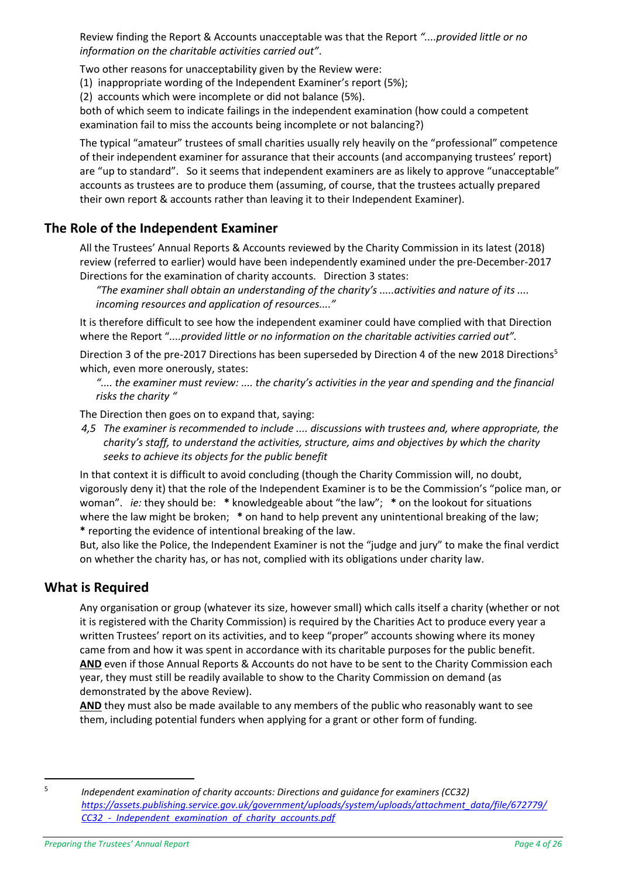Review finding the Report & Accounts unacceptable was that the Report *"....provided little or no information on the charitable activities carried out"*.

Two other reasons for unacceptability given by the Review were:

(1) inappropriate wording of the Independent Examiner's report (5%);

(2) accounts which were incomplete or did not balance (5%).

both of which seem to indicate failings in the independent examination (how could a competent examination fail to miss the accounts being incomplete or not balancing?)

The typical "amateur" trustees of small charities usually rely heavily on the "professional" competence of their independent examiner for assurance that their accounts (and accompanying trustees' report) are "up to standard". So it seems that independent examiners are as likely to approve "unacceptable" accounts as trustees are to produce them (assuming, of course, that the trustees actually prepared their own report & accounts rather than leaving it to their Independent Examiner).

# <span id="page-3-0"></span>**The Role of the Independent Examiner**

All the Trustees' Annual Reports & Accounts reviewed by the Charity Commission in its latest (2018) review (referred to earlier) would have been independently examined under the pre-December-2017 Directions for the examination of charity accounts. Direction 3 states:

*"The examiner shall obtain an understanding of the charity's .....activities and nature of its .... incoming resources and application of resources...."*

It is therefore difficult to see how the independent examiner could have complied with that Direction where the Report "*....provided little or no information on the charitable activities carried out".*

Direction 3 of the pre-2017 Directions has been superseded by Direction 4 of the new 2018 Directions<sup>5</sup> which, even more onerously, states:

*".... the examiner must review: .... the charity's activities in the year and spending and the financial risks the charity "*

The Direction then goes on to expand that, saying:

*4,5 The examiner is recommended to include .... discussions with trustees and, where appropriate, the charity's staff, to understand the activities, structure, aims and objectives by which the charity seeks to achieve its objects for the public benefit* 

In that context it is difficult to avoid concluding (though the Charity Commission will, no doubt, vigorously deny it) that the role of the Independent Examiner is to be the Commission's "police man, or woman". *ie:* they should be: **\*** knowledgeable about "the law"; **\*** on the lookout for situations where the law might be broken; **\*** on hand to help prevent any unintentional breaking of the law; **\*** reporting the evidence of intentional breaking of the law.

But, also like the Police, the Independent Examiner is not the "judge and jury" to make the final verdict on whether the charity has, or has not, complied with its obligations under charity law.

# <span id="page-3-1"></span>**What is Required**

Any organisation or group (whatever its size, however small) which calls itself a charity (whether or not it is registered with the Charity Commission) is required by the Charities Act to produce every year a written Trustees' report on its activities, and to keep "proper" accounts showing where its money came from and how it was spent in accordance with its charitable purposes for the public benefit. **AND** even if those Annual Reports & Accounts do not have to be sent to the Charity Commission each year, they must still be readily available to show to the Charity Commission on demand (as demonstrated by the above Review).

**AND** they must also be made available to any members of the public who reasonably want to see them, including potential funders when applying for a grant or other form of funding.

 $\overline{a}$ 5

*Independent examination of charity accounts: Directions and guidance for examiners (CC32) [https://assets.publishing.service.gov.uk/government/uploads/system/uploads/attachment\\_data/file/672779/](https://assets.publishing.service.gov.uk/government/uploads/system/uploads/attachment_data/file/672779/CC32_-_Independent_examination_of_charity_accounts.pdf) [CC32\\_-\\_Independent\\_examination\\_of\\_charity\\_accounts.pdf](https://assets.publishing.service.gov.uk/government/uploads/system/uploads/attachment_data/file/672779/CC32_-_Independent_examination_of_charity_accounts.pdf)*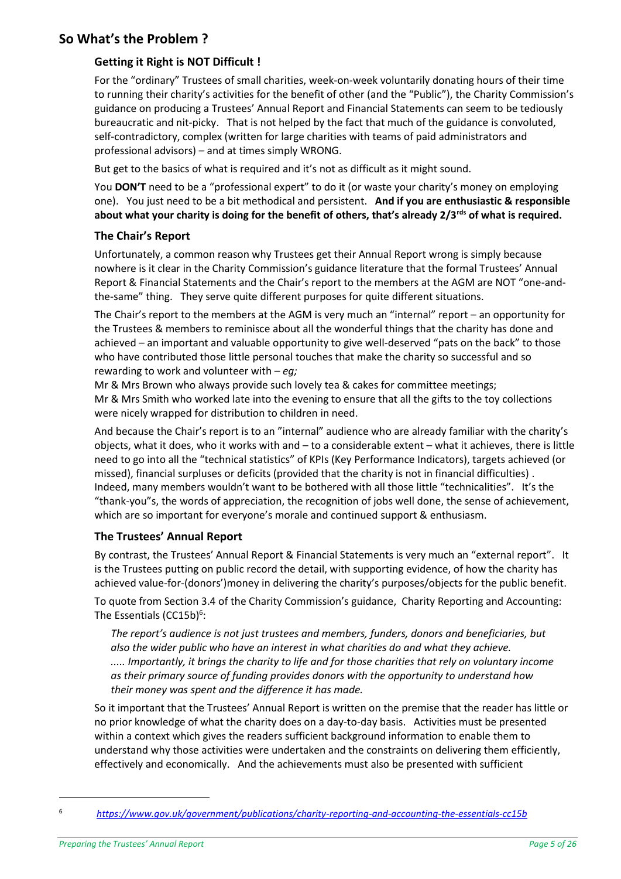# <span id="page-4-1"></span><span id="page-4-0"></span>**So What's the Problem ?**

# **Getting it Right is NOT Difficult !**

For the "ordinary" Trustees of small charities, week-on-week voluntarily donating hours of their time to running their charity's activities for the benefit of other (and the "Public"), the Charity Commission's guidance on producing a Trustees' Annual Report and Financial Statements can seem to be tediously bureaucratic and nit-picky. That is not helped by the fact that much of the guidance is convoluted, self-contradictory, complex (written for large charities with teams of paid administrators and professional advisors) – and at times simply WRONG.

But get to the basics of what is required and it's not as difficult as it might sound.

You **DON'T** need to be a "professional expert" to do it (or waste your charity's money on employing one). You just need to be a bit methodical and persistent. **And if you are enthusiastic & responsible about what your charity is doing for the benefit of others, that's already 2/3rds of what is required.**

#### <span id="page-4-2"></span>**The Chair's Report**

Unfortunately, a common reason why Trustees get their Annual Report wrong is simply because nowhere is it clear in the Charity Commission's guidance literature that the formal Trustees' Annual Report & Financial Statements and the Chair's report to the members at the AGM are NOT "one-andthe-same" thing. They serve quite different purposes for quite different situations.

The Chair's report to the members at the AGM is very much an "internal" report – an opportunity for the Trustees & members to reminisce about all the wonderful things that the charity has done and achieved – an important and valuable opportunity to give well-deserved "pats on the back" to those who have contributed those little personal touches that make the charity so successful and so rewarding to work and volunteer with – *eg;*

Mr & Mrs Brown who always provide such lovely tea & cakes for committee meetings; Mr & Mrs Smith who worked late into the evening to ensure that all the gifts to the toy collections were nicely wrapped for distribution to children in need.

And because the Chair's report is to an "internal" audience who are already familiar with the charity's objects, what it does, who it works with and – to a considerable extent – what it achieves, there is little need to go into all the "technical statistics" of KPIs (Key Performance Indicators), targets achieved (or missed), financial surpluses or deficits (provided that the charity is not in financial difficulties) . Indeed, many members wouldn't want to be bothered with all those little "technicalities". It's the "thank-you"s, the words of appreciation, the recognition of jobs well done, the sense of achievement, which are so important for everyone's morale and continued support & enthusiasm.

# <span id="page-4-3"></span>**The Trustees' Annual Report**

By contrast, the Trustees' Annual Report & Financial Statements is very much an "external report". It is the Trustees putting on public record the detail, with supporting evidence, of how the charity has achieved value-for-(donors')money in delivering the charity's purposes/objects for the public benefit.

To quote from Section 3.4 of the Charity Commission's guidance, Charity Reporting and Accounting: The Essentials (CC15b)<sup>6</sup>:

*The report's audience is not just trustees and members, funders, donors and beneficiaries, but also the wider public who have an interest in what charities do and what they achieve. ..... Importantly, it brings the charity to life and for those charities that rely on voluntary income as their primary source of funding provides donors with the opportunity to understand how their money was spent and the difference it has made.*

So it important that the Trustees' Annual Report is written on the premise that the reader has little or no prior knowledge of what the charity does on a day-to-day basis. Activities must be presented within a context which gives the readers sufficient background information to enable them to understand why those activities were undertaken and the constraints on delivering them efficiently, effectively and economically. And the achievements must also be presented with sufficient

<sup>6</sup> *<https://www.gov.uk/government/publications/charity-reporting-and-accounting-the-essentials-cc15b>*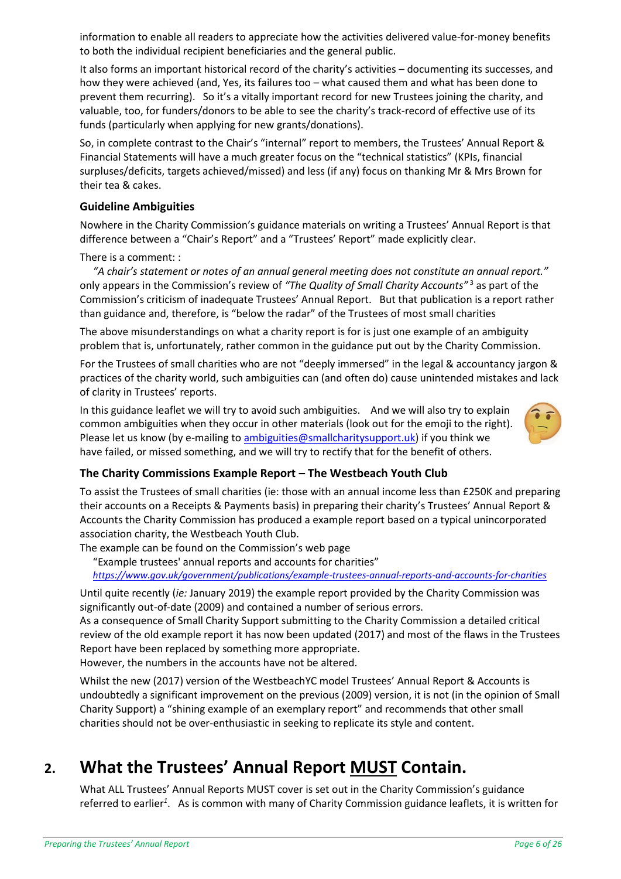information to enable all readers to appreciate how the activities delivered value-for-money benefits to both the individual recipient beneficiaries and the general public.

It also forms an important historical record of the charity's activities – documenting its successes, and how they were achieved (and, Yes, its failures too – what caused them and what has been done to prevent them recurring). So it's a vitally important record for new Trustees joining the charity, and valuable, too, for funders/donors to be able to see the charity's track-record of effective use of its funds (particularly when applying for new grants/donations).

So, in complete contrast to the Chair's "internal" report to members, the Trustees' Annual Report & Financial Statements will have a much greater focus on the "technical statistics" (KPIs, financial surpluses/deficits, targets achieved/missed) and less (if any) focus on thanking Mr & Mrs Brown for their tea & cakes.

#### <span id="page-5-0"></span>**Guideline Ambiguities**

Nowhere in the Charity Commission's guidance materials on writing a Trustees' Annual Report is that difference between a "Chair's Report" and a "Trustees' Report" made explicitly clear.

There is a comment: :

 *"A chair's statement or notes of an annual general meeting does not constitute an annual report."* only appears in the Commission's review of "The Quality of Small Charity Accounts<sup>"[3](#page-2-2)</sup> as part of the Commission's criticism of inadequate Trustees' Annual Report. But that publication is a report rather than guidance and, therefore, is "below the radar" of the Trustees of most small charities

The above misunderstandings on what a charity report is for is just one example of an ambiguity problem that is, unfortunately, rather common in the guidance put out by the Charity Commission.

For the Trustees of small charities who are not "deeply immersed" in the legal & accountancy jargon & practices of the charity world, such ambiguities can (and often do) cause unintended mistakes and lack of clarity in Trustees' reports.

In this guidance leaflet we will try to avoid such ambiguities. And we will also try to explain common ambiguities when they occur in other materials (look out for the emoji to the right). Please let us know (by e-mailing to [ambiguities@smallcharitysupport.uk\)](mailto:ambiguities@smallcharitysupport.uk) if you think we have failed, or missed something, and we will try to rectify that for the benefit of others.



#### <span id="page-5-1"></span>**The Charity Commissions Example Report – The Westbeach Youth Club**

To assist the Trustees of small charities (ie: those with an annual income less than £250K and preparing their accounts on a Receipts & Payments basis) in preparing their charity's Trustees' Annual Report & Accounts the Charity Commission has produced a example report based on a typical unincorporated association charity, the Westbeach Youth Club.

The example can be found on the Commission's web page

"Example trustees' annual reports and accounts for charities"

*<https://www.gov.uk/government/publications/example-trustees-annual-reports-and-accounts-for-charities>*

Until quite recently (*ie:* January 2019) the example report provided by the Charity Commission was significantly out-of-date (2009) and contained a number of serious errors.

As a consequence of Small Charity Support submitting to the Charity Commission a detailed critical review of the old example report it has now been updated (2017) and most of the flaws in the Trustees Report have been replaced by something more appropriate.

However, the numbers in the accounts have not be altered.

Whilst the new (2017) version of the WestbeachYC model Trustees' Annual Report & Accounts is undoubtedly a significant improvement on the previous (2009) version, it is not (in the opinion of Small Charity Support) a "shining example of an exemplary report" and recommends that other small charities should not be over-enthusiastic in seeking to replicate its style and content.

# <span id="page-5-2"></span>**2. What the Trustees' Annual Report MUST Contain.**

What ALL Trustees' Annual Reports MUST cover is set out in the Charity Commission's guidance referred to earlier*<sup>1</sup>* [.](#page-2-3) As is common with many of Charity Commission guidance leaflets, it is written for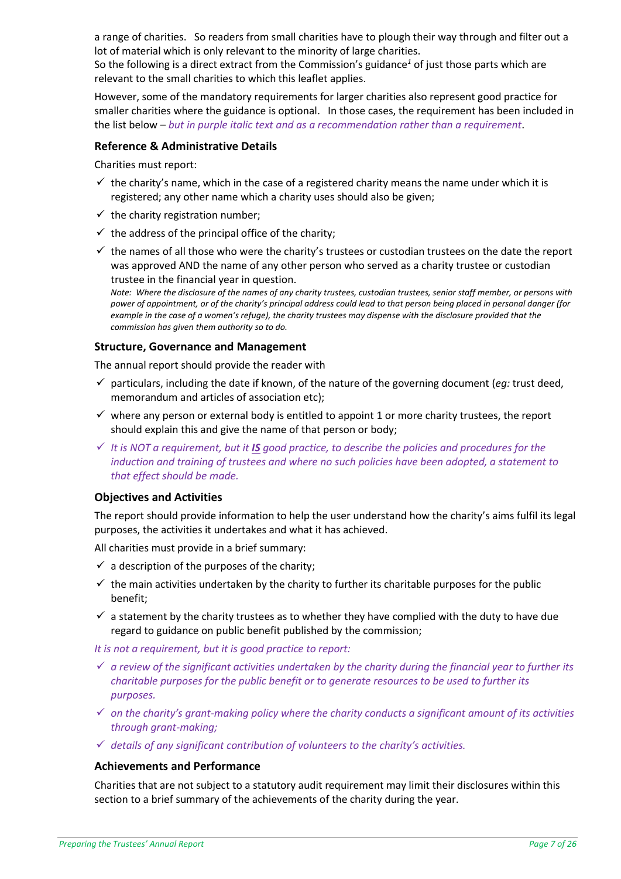a range of charities. So readers from small charities have to plough their way through and filter out a lot of material which is only relevant to the minority of large charities.

So the following is a direct extract from the Commission's guidance*[1](#page-2-3)* of just those parts which are relevant to the small charities to which this leaflet applies.

However, some of the mandatory requirements for larger charities also represent good practice for smaller charities where the guidance is optional. In those cases, the requirement has been included in the list below – *but in purple italic text and as a recommendation rather than a requirement*.

#### **Reference & Administrative Details**

Charities must report:

- $\checkmark$  the charity's name, which in the case of a registered charity means the name under which it is registered; any other name which a charity uses should also be given;
- $\checkmark$  the charity registration number;
- $\checkmark$  the address of the principal office of the charity;
- $\checkmark$  the names of all those who were the charity's trustees or custodian trustees on the date the report was approved AND the name of any other person who served as a charity trustee or custodian trustee in the financial year in question.

*Note: Where the disclosure of the names of any charity trustees, custodian trustees, senior staff member, or persons with power of appointment, or of the charity's principal address could lead to that person being placed in personal danger (for example in the case of a women's refuge), the charity trustees may dispense with the disclosure provided that the commission has given them authority so to do.*

#### **Structure, Governance and Management**

The annual report should provide the reader with

- $\checkmark$  particulars, including the date if known, of the nature of the governing document (*eq:* trust deed, memorandum and articles of association etc);
- $\checkmark$  where any person or external body is entitled to appoint 1 or more charity trustees, the report should explain this and give the name of that person or body;
- ✓ *It is NOT a requirement, but it IS good practice, to describe the policies and procedures for the induction and training of trustees and where no such policies have been adopted, a statement to that effect should be made.*

#### <span id="page-6-0"></span>**Objectives and Activities**

The report should provide information to help the user understand how the charity's aims fulfil its legal purposes, the activities it undertakes and what it has achieved.

All charities must provide in a brief summary:

- $\checkmark$  a description of the purposes of the charity;
- $\checkmark$  the main activities undertaken by the charity to further its charitable purposes for the public benefit;
- $\checkmark$  a statement by the charity trustees as to whether they have complied with the duty to have due regard to guidance on public benefit published by the commission;

*It is not a requirement, but it is good practice to report:*

- ✓ *a review of the significant activities undertaken by the charity during the financial year to further its charitable purposes for the public benefit or to generate resources to be used to further its purposes.*
- ✓ *on the charity's grant-making policy where the charity conducts a significant amount of its activities through grant-making;*
- ✓ *details of any significant contribution of volunteers to the charity's activities.*

#### **Achievements and Performance**

Charities that are not subject to a statutory audit requirement may limit their disclosures within this section to a brief summary of the achievements of the charity during the year.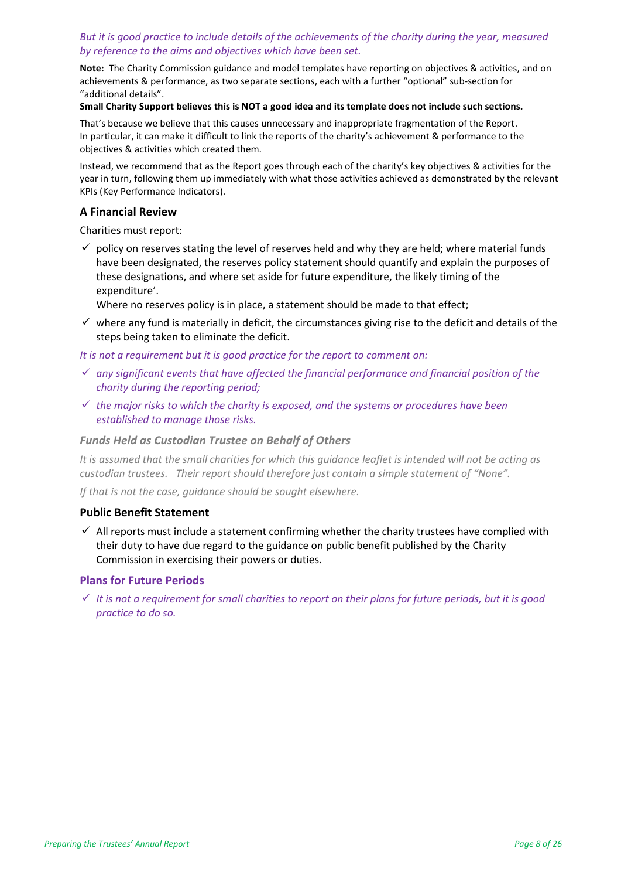#### *But it is good practice to include details of the achievements of the charity during the year, measured by reference to the aims and objectives which have been set.*

**Note:** The Charity Commission guidance and model templates have reporting on objectives & activities, and on achievements & performance, as two separate sections, each with a further "optional" sub-section for "additional details".

#### **Small Charity Support believes this is NOT a good idea and its template does not include such sections.**

That's because we believe that this causes unnecessary and inappropriate fragmentation of the Report. In particular, it can make it difficult to link the reports of the charity's achievement & performance to the objectives & activities which created them.

Instead, we recommend that as the Report goes through each of the charity's key objectives & activities for the year in turn, following them up immediately with what those activities achieved as demonstrated by the relevant KPIs (Key Performance Indicators).

#### **A Financial Review**

Charities must report:

 $\checkmark$  policy on reserves stating the level of reserves held and why they are held; where material funds have been designated, the reserves policy statement should quantify and explain the purposes of these designations, and where set aside for future expenditure, the likely timing of the expenditure'.

Where no reserves policy is in place, a statement should be made to that effect;

 $\checkmark$  where any fund is materially in deficit, the circumstances giving rise to the deficit and details of the steps being taken to eliminate the deficit.

*It is not a requirement but it is good practice for the report to comment on:*

- ✓ *any significant events that have affected the financial performance and financial position of the charity during the reporting period;*
- ✓ *the major risks to which the charity is exposed, and the systems or procedures have been established to manage those risks.*

#### *Funds Held as Custodian Trustee on Behalf of Others*

*It is assumed that the small charities for which this guidance leaflet is intended will not be acting as custodian trustees. Their report should therefore just contain a simple statement of "None".*

*If that is not the case, guidance should be sought elsewhere.*

#### **Public Benefit Statement**

 $\checkmark$  All reports must include a statement confirming whether the charity trustees have complied with their duty to have due regard to the guidance on public benefit published by the Charity Commission in exercising their powers or duties.

#### **Plans for Future Periods**

✓ *It is not a requirement for small charities to report on their plans for future periods, but it is good practice to do so.*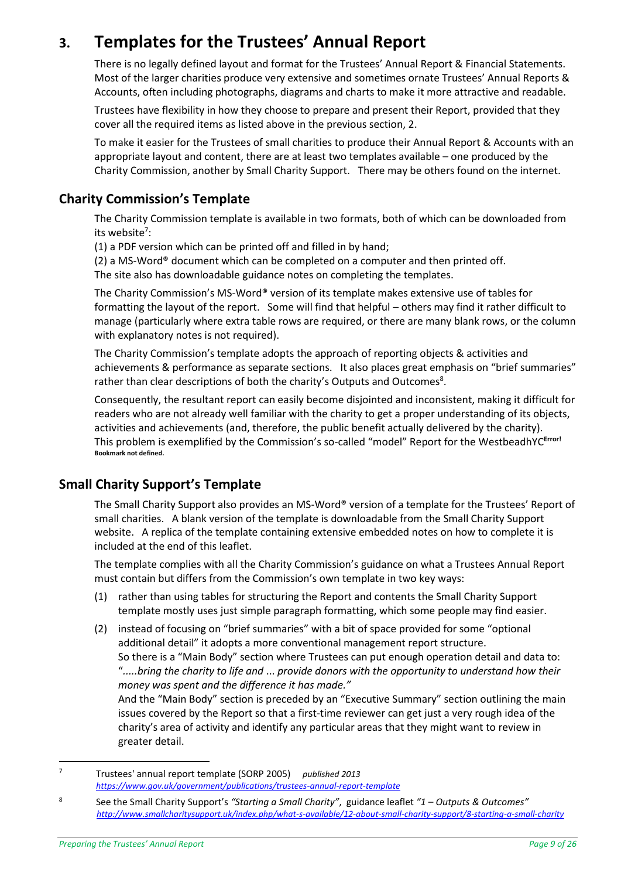# <span id="page-8-0"></span>**3. Templates for the Trustees' Annual Report**

There is no legally defined layout and format for the Trustees' Annual Report & Financial Statements. Most of the larger charities produce very extensive and sometimes ornate Trustees' Annual Reports & Accounts, often including photographs, diagrams and charts to make it more attractive and readable.

Trustees have flexibility in how they choose to prepare and present their Report, provided that they cover all the required items as listed above in the previous section, 2.

To make it easier for the Trustees of small charities to produce their Annual Report & Accounts with an appropriate layout and content, there are at least two templates available – one produced by the Charity Commission, another by Small Charity Support. There may be others found on the internet.

# <span id="page-8-1"></span>**Charity Commission's Template**

The Charity Commission template is available in two formats, both of which can be downloaded from its website<sup>7</sup>:

(1) a PDF version which can be printed off and filled in by hand;

(2) a MS-Word<sup>®</sup> document which can be completed on a computer and then printed off. The site also has downloadable guidance notes on completing the templates.

The Charity Commission's MS-Word® version of its template makes extensive use of tables for formatting the layout of the report. Some will find that helpful – others may find it rather difficult to manage (particularly where extra table rows are required, or there are many blank rows, or the column with explanatory notes is not required).

The Charity Commission's template adopts the approach of reporting objects & activities and achievements & performance as separate sections. It also places great emphasis on "brief summaries" rather than clear descriptions of both the charity's Outputs and Outcomes<sup>8</sup>.

Consequently, the resultant report can easily become disjointed and inconsistent, making it difficult for readers who are not already well familiar with the charity to get a proper understanding of its objects, activities and achievements (and, therefore, the public benefit actually delivered by the charity). This problem is exemplified by the Commission's so-called "model" Report for the WestbeadhYC**Error! Bookmark not defined.**

# <span id="page-8-2"></span>**Small Charity Support's Template**

The Small Charity Support also provides an MS-Word® version of a template for the Trustees' Report of small charities. A blank version of the template is downloadable from the Small Charity Support website. A replica of the template containing extensive embedded notes on how to complete it is included at the end of this leaflet.

The template complies with all the Charity Commission's guidance on what a Trustees Annual Report must contain but differs from the Commission's own template in two key ways:

- (1) rather than using tables for structuring the Report and contents the Small Charity Support template mostly uses just simple paragraph formatting, which some people may find easier.
- (2) instead of focusing on "brief summaries" with a bit of space provided for some "optional additional detail" it adopts a more conventional management report structure. So there is a "Main Body" section where Trustees can put enough operation detail and data to: "*.....bring the charity to life and* ... *provide donors with the opportunity to understand how their money was spent and the difference it has made."*

And the "Main Body" section is preceded by an "Executive Summary" section outlining the main issues covered by the Report so that a first-time reviewer can get just a very rough idea of the charity's area of activity and identify any particular areas that they might want to review in greater detail.

 $\overline{7}$ <sup>7</sup> Trustees' annual report template (SORP 2005) *published 2013 <https://www.gov.uk/government/publications/trustees-annual-report-template>*

<sup>8</sup> See the Small Charity Support's *"Starting a Small Charity"*, guidance leaflet *"1 – Outputs & Outcomes" <http://www.smallcharitysupport.uk/index.php/what-s-available/12-about-small-charity-support/8-starting-a-small-charity>*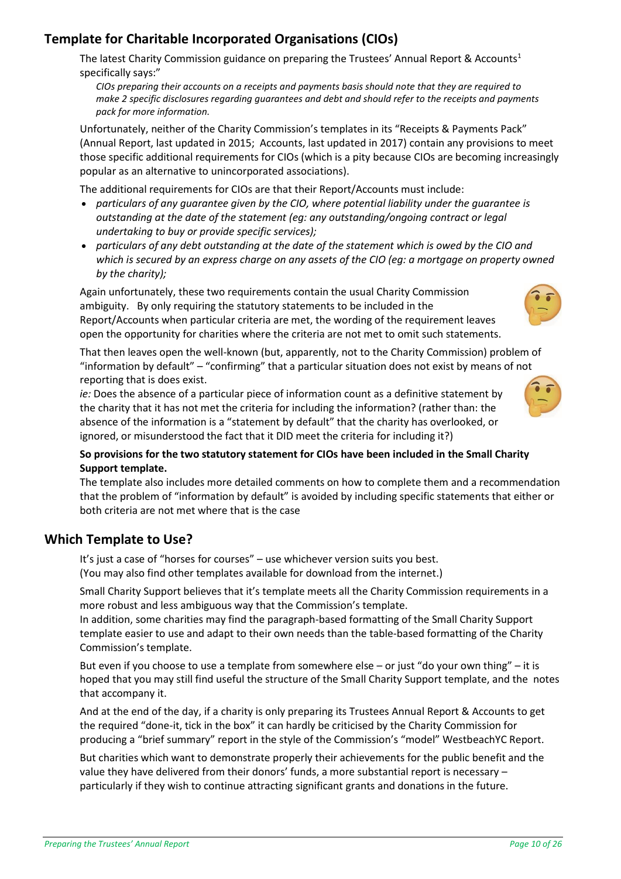# <span id="page-9-0"></span>**Template for Charitable Incorporated Organisations (CIOs)**

The latest Charity Commission guidance on preparing the Trustees' Annual Report & Accounts<sup>[1](#page-2-3)</sup> specifically says:"

*CIOs preparing their accounts on a receipts and payments basis should note that they are required to make 2 specific disclosures regarding guarantees and debt and should refer to the receipts and payments pack for more information.*

Unfortunately, neither of the Charity Commission's templates in its "Receipts & Payments Pack" (Annual Report, last updated in 2015; Accounts, last updated in 2017) contain any provisions to meet those specific additional requirements for CIOs (which is a pity because CIOs are becoming increasingly popular as an alternative to unincorporated associations).

The additional requirements for CIOs are that their Report/Accounts must include:

- *particulars of any guarantee given by the CIO, where potential liability under the guarantee is outstanding at the date of the statement (eg: any outstanding/ongoing contract or legal undertaking to buy or provide specific services);*
- *particulars of any debt outstanding at the date of the statement which is owed by the CIO and which is secured by an express charge on any assets of the CIO (eg: a mortgage on property owned by the charity);*

Again unfortunately, these two requirements contain the usual Charity Commission ambiguity. By only requiring the statutory statements to be included in the Report/Accounts when particular criteria are met, the wording of the requirement leaves open the opportunity for charities where the criteria are not met to omit such statements.

That then leaves open the well-known (but, apparently, not to the Charity Commission) problem of "information by default" – "confirming" that a particular situation does not exist by means of not reporting that is does exist.

*ie:* Does the absence of a particular piece of information count as a definitive statement by the charity that it has not met the criteria for including the information? (rather than: the absence of the information is a "statement by default" that the charity has overlooked, or ignored, or misunderstood the fact that it DID meet the criteria for including it?)



#### **So provisions for the two statutory statement for CIOs have been included in the Small Charity Support template.**

The template also includes more detailed comments on how to complete them and a recommendation that the problem of "information by default" is avoided by including specific statements that either or both criteria are not met where that is the case

# <span id="page-9-1"></span>**Which Template to Use?**

It's just a case of "horses for courses" – use whichever version suits you best. (You may also find other templates available for download from the internet.)

Small Charity Support believes that it's template meets all the Charity Commission requirements in a more robust and less ambiguous way that the Commission's template.

In addition, some charities may find the paragraph-based formatting of the Small Charity Support template easier to use and adapt to their own needs than the table-based formatting of the Charity Commission's template.

But even if you choose to use a template from somewhere else – or just "do your own thing" – it is hoped that you may still find useful the structure of the Small Charity Support template, and the notes that accompany it.

And at the end of the day, if a charity is only preparing its Trustees Annual Report & Accounts to get the required "done-it, tick in the box" it can hardly be criticised by the Charity Commission for producing a "brief summary" report in the style of the Commission's "model" WestbeachYC Report.

But charities which want to demonstrate properly their achievements for the public benefit and the value they have delivered from their donors' funds, a more substantial report is necessary – particularly if they wish to continue attracting significant grants and donations in the future.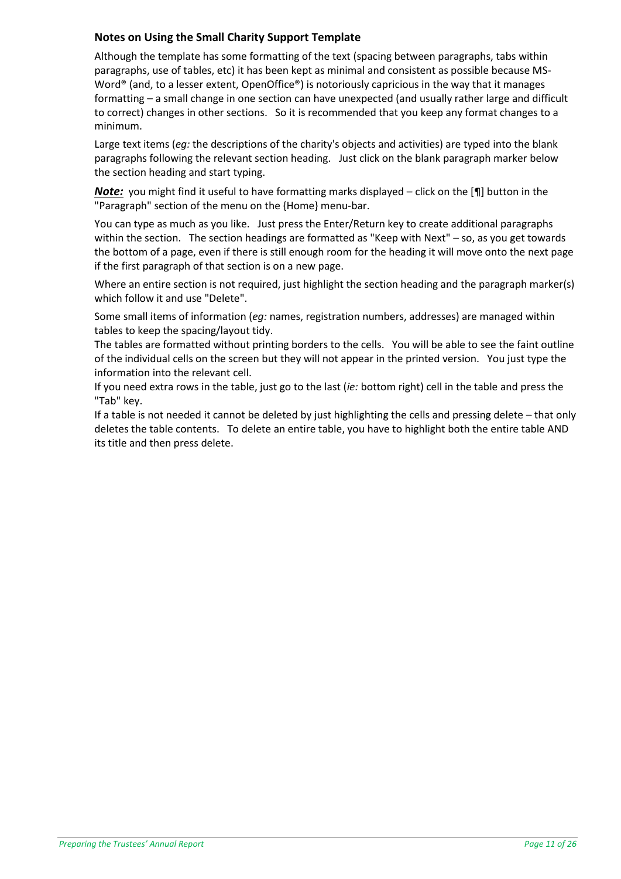## **Notes on Using the Small Charity Support Template**

Although the template has some formatting of the text (spacing between paragraphs, tabs within paragraphs, use of tables, etc) it has been kept as minimal and consistent as possible because MS-Word<sup>®</sup> (and, to a lesser extent, OpenOffice<sup>®</sup>) is notoriously capricious in the way that it manages formatting – a small change in one section can have unexpected (and usually rather large and difficult to correct) changes in other sections. So it is recommended that you keep any format changes to a minimum.

Large text items (*eg:* the descriptions of the charity's objects and activities) are typed into the blank paragraphs following the relevant section heading. Just click on the blank paragraph marker below the section heading and start typing.

*Note:* you might find it useful to have formatting marks displayed – click on the [¶] button in the "Paragraph" section of the menu on the {Home} menu-bar.

You can type as much as you like. Just press the Enter/Return key to create additional paragraphs within the section. The section headings are formatted as "Keep with Next" – so, as you get towards the bottom of a page, even if there is still enough room for the heading it will move onto the next page if the first paragraph of that section is on a new page.

Where an entire section is not required, just highlight the section heading and the paragraph marker(s) which follow it and use "Delete".

Some small items of information (*eg:* names, registration numbers, addresses) are managed within tables to keep the spacing/layout tidy.

The tables are formatted without printing borders to the cells. You will be able to see the faint outline of the individual cells on the screen but they will not appear in the printed version. You just type the information into the relevant cell.

If you need extra rows in the table, just go to the last (*ie:* bottom right) cell in the table and press the "Tab" key.

If a table is not needed it cannot be deleted by just highlighting the cells and pressing delete – that only deletes the table contents. To delete an entire table, you have to highlight both the entire table AND its title and then press delete.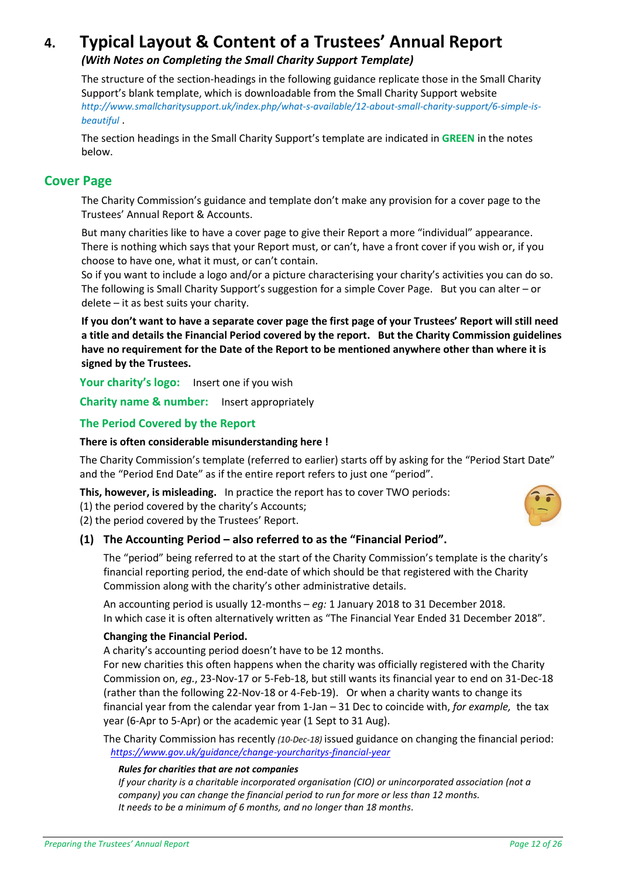# <span id="page-11-0"></span>**4. Typical Layout & Content of a Trustees' Annual Report**

# *(With Notes on Completing the Small Charity Support Template)*

The structure of the section-headings in the following guidance replicate those in the Small Charity Support's blank template, which is downloadable from the Small Charity Support website *[http://www.smallcharitysupport.uk/index.php/what-s-available/12-about-small-charity-support/6-simple-is](http://www.smallcharitysupport.uk/index.php/what-s-available/12-about-small-charity-support/6-simple-is-beautiful)[beautiful](http://www.smallcharitysupport.uk/index.php/what-s-available/12-about-small-charity-support/6-simple-is-beautiful)* .

The section headings in the Small Charity Support's template are indicated in **GREEN** in the notes below.

# <span id="page-11-1"></span>**Cover Page**

The Charity Commission's guidance and template don't make any provision for a cover page to the Trustees' Annual Report & Accounts.

But many charities like to have a cover page to give their Report a more "individual" appearance. There is nothing which says that your Report must, or can't, have a front cover if you wish or, if you choose to have one, what it must, or can't contain.

So if you want to include a logo and/or a picture characterising your charity's activities you can do so. The following is Small Charity Support's suggestion for a simple Cover Page. But you can alter – or delete – it as best suits your charity.

**If you don't want to have a separate cover page the first page of your Trustees' Report will still need a title and details the Financial Period covered by the report. But the Charity Commission guidelines have no requirement for the Date of the Report to be mentioned anywhere other than where it is signed by the Trustees.**

**Your charity's logo:** Insert one if you wish

**Charity name & number:** Insert appropriately

#### <span id="page-11-2"></span>**The Period Covered by the Report**

#### **There is often considerable misunderstanding here !**

The Charity Commission's template (referred to earlier) starts off by asking for the "Period Start Date" and the "Period End Date" as if the entire report refers to just one "period".

**This, however, is misleading.** In practice the report has to cover TWO periods:

(1) the period covered by the charity's Accounts;

(2) the period covered by the Trustees' Report.

# **(1) The Accounting Period – also referred to as the "Financial Period".**

The "period" being referred to at the start of the Charity Commission's template is the charity's financial reporting period, the end-date of which should be that registered with the Charity Commission along with the charity's other administrative details.

An accounting period is usually 12-months – *eg:* 1 January 2018 to 31 December 2018. In which case it is often alternatively written as "The Financial Year Ended 31 December 2018".

#### **Changing the Financial Period.**

A charity's accounting period doesn't have to be 12 months.

For new charities this often happens when the charity was officially registered with the Charity Commission on, *eg.*, 23-Nov-17 or 5-Feb-18, but still wants its financial year to end on 31-Dec-18 (rather than the following 22-Nov-18 or 4-Feb-19). Or when a charity wants to change its financial year from the calendar year from 1-Jan – 31 Dec to coincide with, *for example,* the tax year (6-Apr to 5-Apr) or the academic year (1 Sept to 31 Aug).

The Charity Commission has recently *(10-Dec-18)* issued guidance on changing the financial period:  *[https://www.gov.uk/guidance/change-yourcharitys-financial-year](https://www.gov.uk/guidance/change-your-charitys-financial-year)*

#### *Rules for charities that are not companies*

*If your charity is a charitable incorporated organisation (CIO) or unincorporated association (not a company) you can change the financial period to run for more or less than 12 months. It needs to be a minimum of 6 months, and no longer than 18 months.*

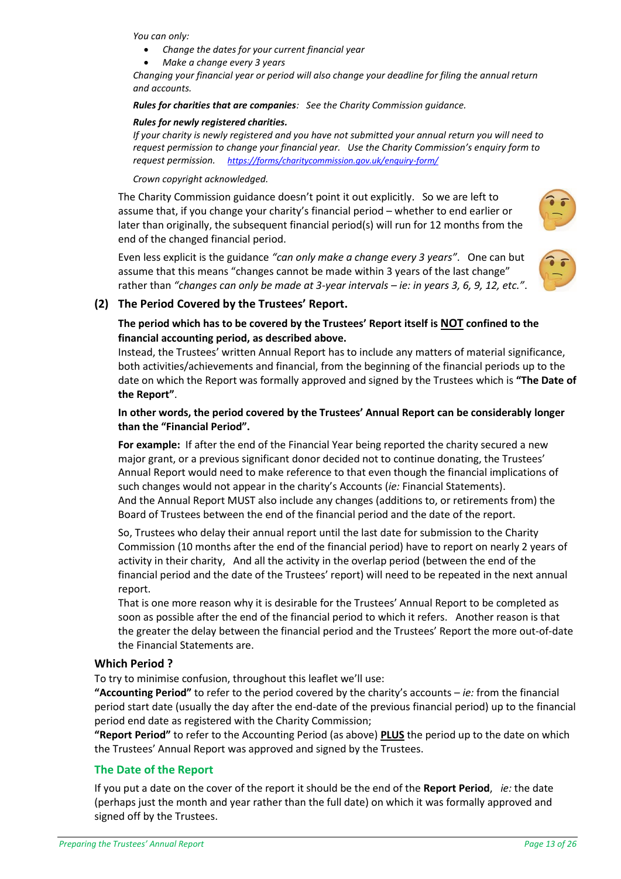*You can only:*

- *Change the dates for your current financial year*
- *Make a change every 3 years*

*Changing your financial year or period will also change your deadline for filing the annual return and accounts.*

#### *Rules for charities that are companies: See the Charity Commission guidance.*

#### *Rules for newly registered charities.*

*If your charity is newly registered and you have not submitted your annual return you will need to request permission to change your financial year. Use the Charity Commission's enquiry form to request permission. <https://forms/charitycommission.gov.uk/enquiry-form/>*

#### *Crown copyright acknowledged.*

The Charity Commission guidance doesn't point it out explicitly. So we are left to assume that, if you change your charity's financial period – whether to end earlier or later than originally, the subsequent financial period(s) will run for 12 months from the end of the changed financial period.

Even less explicit is the guidance *"can only make a change every 3 years"*. One can but assume that this means "changes cannot be made within 3 years of the last change" rather than *"changes can only be made at 3-year intervals – ie: in years 3, 6, 9, 12, etc."*.





# **(2) The Period Covered by the Trustees' Report.**

# **The period which has to be covered by the Trustees' Report itself is NOT confined to the financial accounting period, as described above.**

Instead, the Trustees' written Annual Report has to include any matters of material significance, both activities/achievements and financial, from the beginning of the financial periods up to the date on which the Report was formally approved and signed by the Trustees which is **"The Date of the Report"**.

#### **In other words, the period covered by the Trustees' Annual Report can be considerably longer than the "Financial Period".**

**For example:** If after the end of the Financial Year being reported the charity secured a new major grant, or a previous significant donor decided not to continue donating, the Trustees' Annual Report would need to make reference to that even though the financial implications of such changes would not appear in the charity's Accounts (*ie:* Financial Statements). And the Annual Report MUST also include any changes (additions to, or retirements from) the Board of Trustees between the end of the financial period and the date of the report.

So, Trustees who delay their annual report until the last date for submission to the Charity Commission (10 months after the end of the financial period) have to report on nearly 2 years of activity in their charity, And all the activity in the overlap period (between the end of the financial period and the date of the Trustees' report) will need to be repeated in the next annual report.

That is one more reason why it is desirable for the Trustees' Annual Report to be completed as soon as possible after the end of the financial period to which it refers. Another reason is that the greater the delay between the financial period and the Trustees' Report the more out-of-date the Financial Statements are.

# **Which Period ?**

To try to minimise confusion, throughout this leaflet we'll use:

**"Accounting Period"** to refer to the period covered by the charity's accounts – *ie:* from the financial period start date (usually the day after the end-date of the previous financial period) up to the financial period end date as registered with the Charity Commission;

**"Report Period"** to refer to the Accounting Period (as above) **PLUS** the period up to the date on which the Trustees' Annual Report was approved and signed by the Trustees.

# <span id="page-12-0"></span>**The Date of the Report**

If you put a date on the cover of the report it should be the end of the **Report Period**, *ie:* the date (perhaps just the month and year rather than the full date) on which it was formally approved and signed off by the Trustees.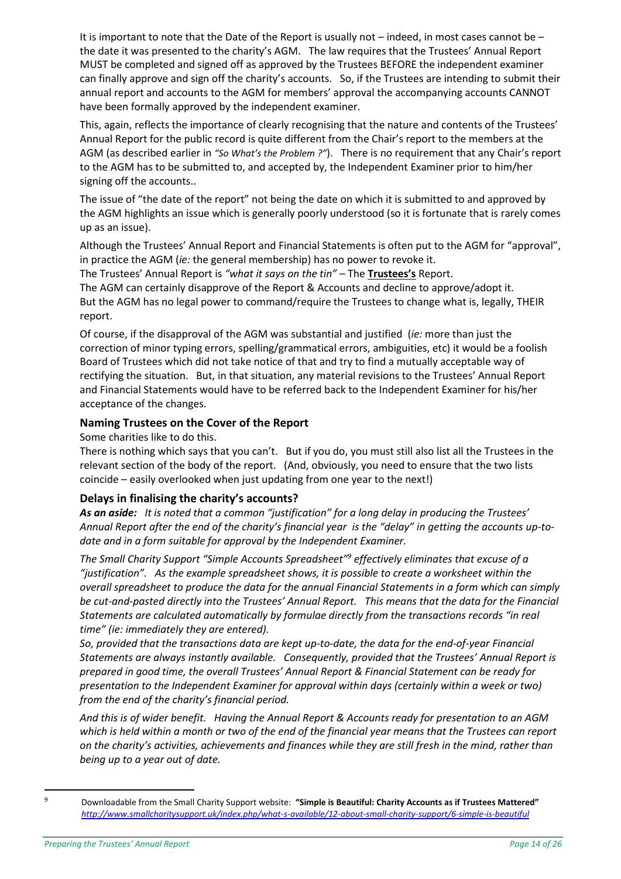It is important to note that the Date of the Report is usually not – indeed, in most cases cannot be – the date it was presented to the charity's AGM. The law requires that the Trustees' Annual Report MUST be completed and signed off as approved by the Trustees BEFORE the independent examiner can finally approve and sign off the charity's accounts. So, if the Trustees are intending to submit their annual report and accounts to the AGM for members' approval the accompanying accounts CANNOT have been formally approved by the independent examiner.

This, again, reflects the importance of clearly recognising that the nature and contents of the Trustees' Annual Report for the public record is quite different from the Chair's report to the members at the AGM (as described earlier in *"So What['s the Problem ?"](#page-4-0)*). There is no requirement that any Chair's report to the AGM has to be submitted to, and accepted by, the Independent Examiner prior to him/her signing off the accounts..

The issue of "the date of the report" not being the date on which it is submitted to and approved by the AGM highlights an issue which is generally poorly understood (so it is fortunate that is rarely comes up as an issue).

Although the Trustees' Annual Report and Financial Statements is often put to the AGM for "approval", in practice the AGM (*ie:* the general membership) has no power to revoke it.

The Trustees' Annual Report is *"what it says on the tin"* – The **Trustees's** Report. The AGM can certainly disapprove of the Report & Accounts and decline to approve/adopt it. But the AGM has no legal power to command/require the Trustees to change what is, legally, THEIR report.

Of course, if the disapproval of the AGM was substantial and justified (*ie:* more than just the correction of minor typing errors, spelling/grammatical errors, ambiguities, etc) it would be a foolish Board of Trustees which did not take notice of that and try to find a mutually acceptable way of rectifying the situation. But, in that situation, any material revisions to the Trustees' Annual Report and Financial Statements would have to be referred back to the Independent Examiner for his/her acceptance of the changes.

#### **Naming Trustees on the Cover of the Report**

Some charities like to do this.

There is nothing which says that you can't. But if you do, you must still also list all the Trustees in the relevant section of the body of the report. (And, obviously, you need to ensure that the two lists coincide – easily overlooked when just updating from one year to the next!)

#### **Delays in finalising the charity's accounts?**

*As an aside: It is noted that a common "justification" for a long delay in producing the Trustees'*  Annual Report after the end of the charity's financial year is the "delay" in getting the accounts up-to*date and in a form suitable for approval by the Independent Examiner.*

*The Small Charity Support "Simple Accounts Spreadsheet"<sup>9</sup> effectively eliminates that excuse of a "justification". As the example spreadsheet shows, it is possible to create a worksheet within the overall spreadsheet to produce the data for the annual Financial Statements in a form which can simply be cut-and-pasted directly into the Trustees' Annual Report. This means that the data for the Financial Statements are calculated automatically by formulae directly from the transactions records "in real time" (ie: immediately they are entered).*

*So, provided that the transactions data are kept up-to-date, the data for the end-of-year Financial Statements are always instantly available. Consequently, provided that the Trustees' Annual Report is prepared in good time, the overall Trustees' Annual Report & Financial Statement can be ready for presentation to the Independent Examiner for approval within days (certainly within a week or two) from the end of the charity's financial period.*

*And this is of wider benefit. Having the Annual Report & Accounts ready for presentation to an AGM which is held within a month or two of the end of the financial year means that the Trustees can report on the charity's activities, achievements and finances while they are still fresh in the mind, rather than being up to a year out of date.*

 $\overline{a}$ 

<sup>9</sup> Downloadable from the Small Charity Support website: **"Simple is Beautiful: Charity Accounts as if Trustees Mattered"** *<http://www.smallcharitysupport.uk/index.php/what-s-available/12-about-small-charity-support/6-simple-is-beautiful>*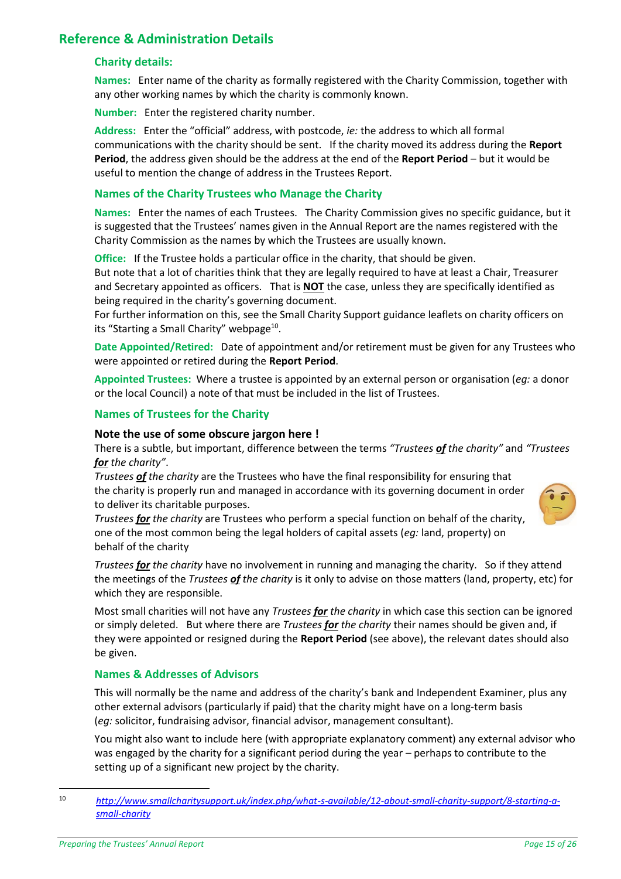# <span id="page-14-1"></span><span id="page-14-0"></span>**Reference & Administration Details**

#### **Charity details:**

**Names:** Enter name of the charity as formally registered with the Charity Commission, together with any other working names by which the charity is commonly known.

**Number:** Enter the registered charity number.

**Address:** Enter the "official" address, with postcode, *ie:* the address to which all formal communications with the charity should be sent. If the charity moved its address during the **Report Period**, the address given should be the address at the end of the **Report Period** – but it would be useful to mention the change of address in the Trustees Report.

#### <span id="page-14-2"></span>**Names of the Charity Trustees who Manage the Charity**

**Names:** Enter the names of each Trustees. The Charity Commission gives no specific guidance, but it is suggested that the Trustees' names given in the Annual Report are the names registered with the Charity Commission as the names by which the Trustees are usually known.

**Office:** If the Trustee holds a particular office in the charity, that should be given.

But note that a lot of charities think that they are legally required to have at least a Chair, Treasurer and Secretary appointed as officers. That is **NOT** the case, unless they are specifically identified as being required in the charity's governing document.

<span id="page-14-5"></span>For further information on this, see the Small Charity Support guidance leaflets on charity officers on its "Starting a Small Charity" webpage<sup>10</sup>.

**Date Appointed/Retired:** Date of appointment and/or retirement must be given for any Trustees who were appointed or retired during the **Report Period**.

**Appointed Trustees:** Where a trustee is appointed by an external person or organisation (*eg:* a donor or the local Council) a note of that must be included in the list of Trustees.

#### <span id="page-14-3"></span>**Names of Trustees for the Charity**

#### **Note the use of some obscure jargon here !**

There is a subtle, but important, difference between the terms *"Trustees of the charity"* and *"Trustees for the charity"*.

*Trustees of the charity* are the Trustees who have the final responsibility for ensuring that the charity is properly run and managed in accordance with its governing document in order to deliver its charitable purposes.

*Trustees for the charity* are Trustees who perform a special function on behalf of the charity, one of the most common being the legal holders of capital assets (*eg:* land, property) on behalf of the charity

*Trustees for the charity* have no involvement in running and managing the charity. So if they attend the meetings of the *Trustees of the charity* is it only to advise on those matters (land, property, etc) for which they are responsible.

Most small charities will not have any *Trustees for the charity* in which case this section can be ignored or simply deleted. But where there are *Trustees for the charity* their names should be given and, if they were appointed or resigned during the **Report Period** (see above), the relevant dates should also be given.

#### <span id="page-14-4"></span>**Names & Addresses of Advisors**

This will normally be the name and address of the charity's bank and Independent Examiner, plus any other external advisors (particularly if paid) that the charity might have on a long-term basis (*eg:* solicitor, fundraising advisor, financial advisor, management consultant).

You might also want to include here (with appropriate explanatory comment) any external advisor who was engaged by the charity for a significant period during the year – perhaps to contribute to the setting up of a significant new project by the charity.

<sup>10</sup> *[http://www.smallcharitysupport.uk/index.php/what-s-available/12-about-small-charity-support/8-starting-a](http://www.smallcharitysupport.uk/index.php/what-s-available/12-about-small-charity-support/8-starting-a-small-charity)[small-charity](http://www.smallcharitysupport.uk/index.php/what-s-available/12-about-small-charity-support/8-starting-a-small-charity)*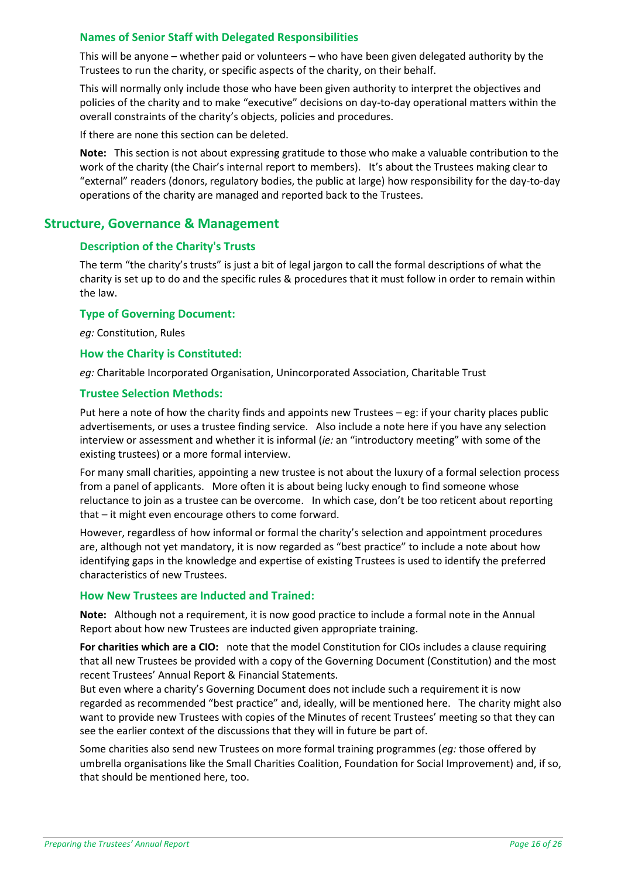#### <span id="page-15-0"></span>**Names of Senior Staff with Delegated Responsibilities**

This will be anyone – whether paid or volunteers – who have been given delegated authority by the Trustees to run the charity, or specific aspects of the charity, on their behalf.

This will normally only include those who have been given authority to interpret the objectives and policies of the charity and to make "executive" decisions on day-to-day operational matters within the overall constraints of the charity's objects, policies and procedures.

If there are none this section can be deleted.

**Note:** This section is not about expressing gratitude to those who make a valuable contribution to the work of the charity (the Chair's internal report to members). It's about the Trustees making clear to "external" readers (donors, regulatory bodies, the public at large) how responsibility for the day-to-day operations of the charity are managed and reported back to the Trustees.

# <span id="page-15-2"></span><span id="page-15-1"></span>**Structure, Governance & Management**

#### **Description of the Charity's Trusts**

The term "the charity's trusts" is just a bit of legal jargon to call the formal descriptions of what the charity is set up to do and the specific rules & procedures that it must follow in order to remain within the law.

#### <span id="page-15-3"></span>**Type of Governing Document:**

*eg:* Constitution, Rules

#### <span id="page-15-4"></span>**How the Charity is Constituted:**

*eg:* Charitable Incorporated Organisation, Unincorporated Association, Charitable Trust

#### <span id="page-15-5"></span>**Trustee Selection Methods:**

Put here a note of how the charity finds and appoints new Trustees – eg: if your charity places public advertisements, or uses a trustee finding service. Also include a note here if you have any selection interview or assessment and whether it is informal (*ie:* an "introductory meeting" with some of the existing trustees) or a more formal interview.

For many small charities, appointing a new trustee is not about the luxury of a formal selection process from a panel of applicants. More often it is about being lucky enough to find someone whose reluctance to join as a trustee can be overcome. In which case, don't be too reticent about reporting that – it might even encourage others to come forward.

However, regardless of how informal or formal the charity's selection and appointment procedures are, although not yet mandatory, it is now regarded as "best practice" to include a note about how identifying gaps in the knowledge and expertise of existing Trustees is used to identify the preferred characteristics of new Trustees.

#### <span id="page-15-6"></span>**How New Trustees are Inducted and Trained:**

**Note:** Although not a requirement, it is now good practice to include a formal note in the Annual Report about how new Trustees are inducted given appropriate training.

**For charities which are a CIO:** note that the model Constitution for CIOs includes a clause requiring that all new Trustees be provided with a copy of the Governing Document (Constitution) and the most recent Trustees' Annual Report & Financial Statements.

But even where a charity's Governing Document does not include such a requirement it is now regarded as recommended "best practice" and, ideally, will be mentioned here. The charity might also want to provide new Trustees with copies of the Minutes of recent Trustees' meeting so that they can see the earlier context of the discussions that they will in future be part of.

Some charities also send new Trustees on more formal training programmes (*eg:* those offered by umbrella organisations like the Small Charities Coalition, Foundation for Social Improvement) and, if so, that should be mentioned here, too.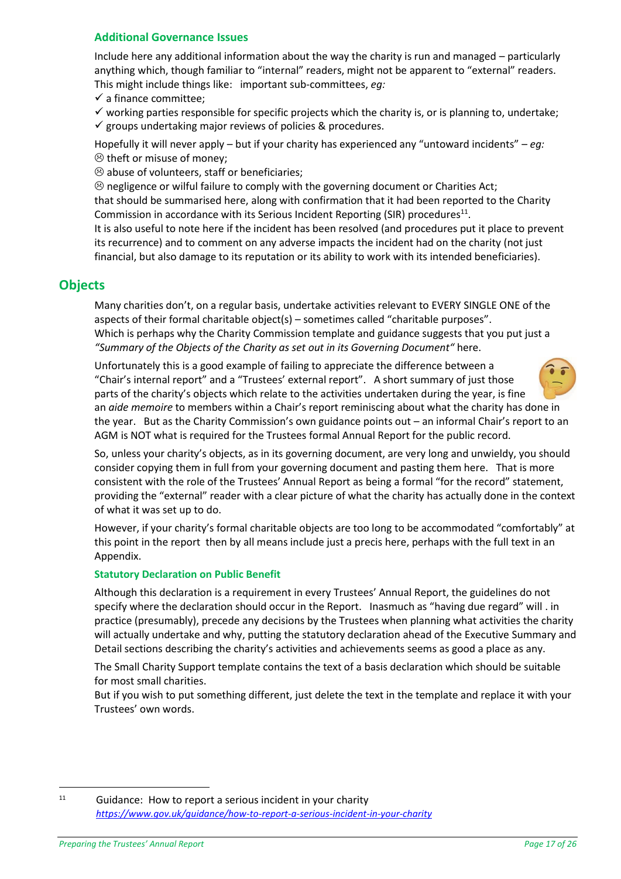#### <span id="page-16-0"></span>**Additional Governance Issues**

Include here any additional information about the way the charity is run and managed – particularly anything which, though familiar to "internal" readers, might not be apparent to "external" readers. This might include things like: important sub-committees, *eg:*

✓ a finance committee;

 $\checkmark$  working parties responsible for specific projects which the charity is, or is planning to, undertake;  $\checkmark$  groups undertaking major reviews of policies & procedures.

Hopefully it will never apply – but if your charity has experienced any "untoward incidents" – *eg:*  $\odot$  theft or misuse of money:

 $\odot$  abuse of volunteers, staff or beneficiaries;

 $\otimes$  negligence or wilful failure to comply with the governing document or Charities Act; that should be summarised here, along with confirmation that it had been reported to the Charity Commission in accordance with its Serious Incident Reporting (SIR) procedures<sup>11</sup>.

It is also useful to note here if the incident has been resolved (and procedures put it place to prevent its recurrence) and to comment on any adverse impacts the incident had on the charity (not just financial, but also damage to its reputation or its ability to work with its intended beneficiaries).

# <span id="page-16-1"></span>**Objects**

Many charities don't, on a regular basis, undertake activities relevant to EVERY SINGLE ONE of the aspects of their formal charitable object(s) – sometimes called "charitable purposes". Which is perhaps why the Charity Commission template and guidance suggests that you put just a *"Summary of the Objects of the Charity as set out in its Governing Document"* here.

Unfortunately this is a good example of failing to appreciate the difference between a "Chair's internal report" and a "Trustees' external report". A short summary of just those parts of the charity's objects which relate to the activities undertaken during the year, is fine an *aide memoire* to members within a Chair's report reminiscing about what the charity has done in the year. But as the Charity Commission's own guidance points out – an informal Chair's report to an AGM is NOT what is required for the Trustees formal Annual Report for the public record.

So, unless your charity's objects, as in its governing document, are very long and unwieldy, you should consider copying them in full from your governing document and pasting them here. That is more consistent with the role of the Trustees' Annual Report as being a formal "for the record" statement, providing the "external" reader with a clear picture of what the charity has actually done in the context of what it was set up to do.

However, if your charity's formal charitable objects are too long to be accommodated "comfortably" at this point in the report then by all means include just a precis here, perhaps with the full text in an Appendix.

#### **Statutory Declaration on Public Benefit**

Although this declaration is a requirement in every Trustees' Annual Report, the guidelines do not specify where the declaration should occur in the Report. Inasmuch as "having due regard" will . in practice (presumably), precede any decisions by the Trustees when planning what activities the charity will actually undertake and why, putting the statutory declaration ahead of the Executive Summary and Detail sections describing the charity's activities and achievements seems as good a place as any.

The Small Charity Support template contains the text of a basis declaration which should be suitable for most small charities.

But if you wish to put something different, just delete the text in the template and replace it with your Trustees' own words.

 $11$  Guidance: How to report a serious incident in your charity *<https://www.gov.uk/guidance/how-to-report-a-serious-incident-in-your-charity>*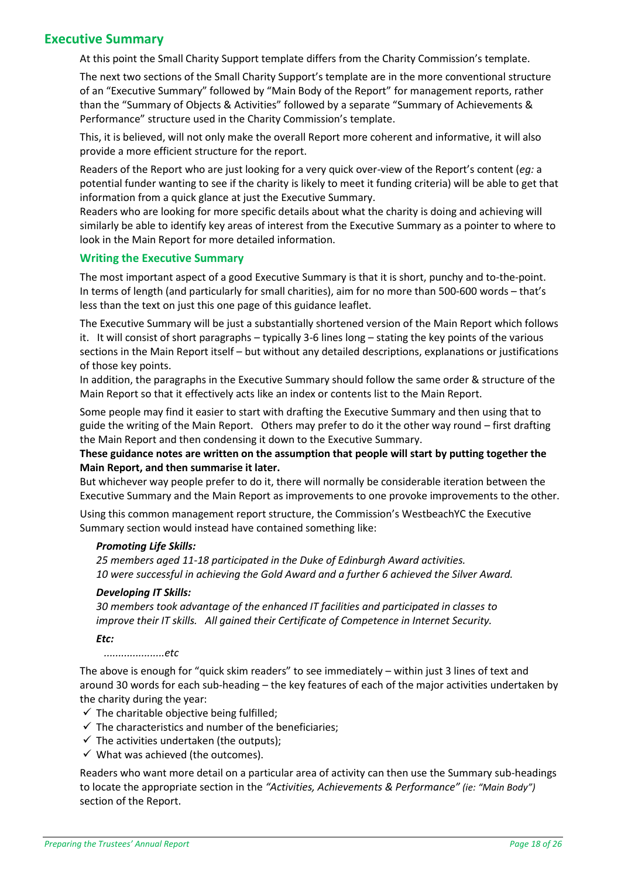# <span id="page-17-0"></span>**Executive Summary**

At this point the Small Charity Support template differs from the Charity Commission's template.

The next two sections of the Small Charity Support's template are in the more conventional structure of an "Executive Summary" followed by "Main Body of the Report" for management reports, rather than the "Summary of Objects & Activities" followed by a separate "Summary of Achievements & Performance" structure used in the Charity Commission's template.

This, it is believed, will not only make the overall Report more coherent and informative, it will also provide a more efficient structure for the report.

Readers of the Report who are just looking for a very quick over-view of the Report's content (*eg:* a potential funder wanting to see if the charity is likely to meet it funding criteria) will be able to get that information from a quick glance at just the Executive Summary.

Readers who are looking for more specific details about what the charity is doing and achieving will similarly be able to identify key areas of interest from the Executive Summary as a pointer to where to look in the Main Report for more detailed information.

#### **Writing the Executive Summary**

The most important aspect of a good Executive Summary is that it is short, punchy and to-the-point. In terms of length (and particularly for small charities), aim for no more than 500-600 words – that's less than the text on just this one page of this guidance leaflet.

The Executive Summary will be just a substantially shortened version of the Main Report which follows it. It will consist of short paragraphs – typically 3-6 lines long – stating the key points of the various sections in the Main Report itself – but without any detailed descriptions, explanations or justifications of those key points.

In addition, the paragraphs in the Executive Summary should follow the same order & structure of the Main Report so that it effectively acts like an index or contents list to the Main Report.

Some people may find it easier to start with drafting the Executive Summary and then using that to guide the writing of the Main Report. Others may prefer to do it the other way round – first drafting the Main Report and then condensing it down to the Executive Summary.

#### **These guidance notes are written on the assumption that people will start by putting together the Main Report, and then summarise it later.**

But whichever way people prefer to do it, there will normally be considerable iteration between the Executive Summary and the Main Report as improvements to one provoke improvements to the other.

Using this common management report structure, the Commission's WestbeachYC the Executive Summary section would instead have contained something like:

#### *Promoting Life Skills:*

*25 members aged 11-18 participated in the Duke of Edinburgh Award activities. 10 were successful in achieving the Gold Award and a further 6 achieved the Silver Award.*

#### *Developing IT Skills:*

*30 members took advantage of the enhanced IT facilities and participated in classes to improve their IT skills. All gained their Certificate of Competence in Internet Security.*

*Etc:*

 *.....................etc*

The above is enough for "quick skim readers" to see immediately – within just 3 lines of text and around 30 words for each sub-heading – the key features of each of the major activities undertaken by the charity during the year:

- $\checkmark$  The charitable objective being fulfilled;
- $\checkmark$  The characteristics and number of the beneficiaries;
- $\checkmark$  The activities undertaken (the outputs);
- $\checkmark$  What was achieved (the outcomes).

Readers who want more detail on a particular area of activity can then use the Summary sub-headings to locate the appropriate section in the *"Activities, Achievements & Performance" (ie: "Main Body")* section of the Report.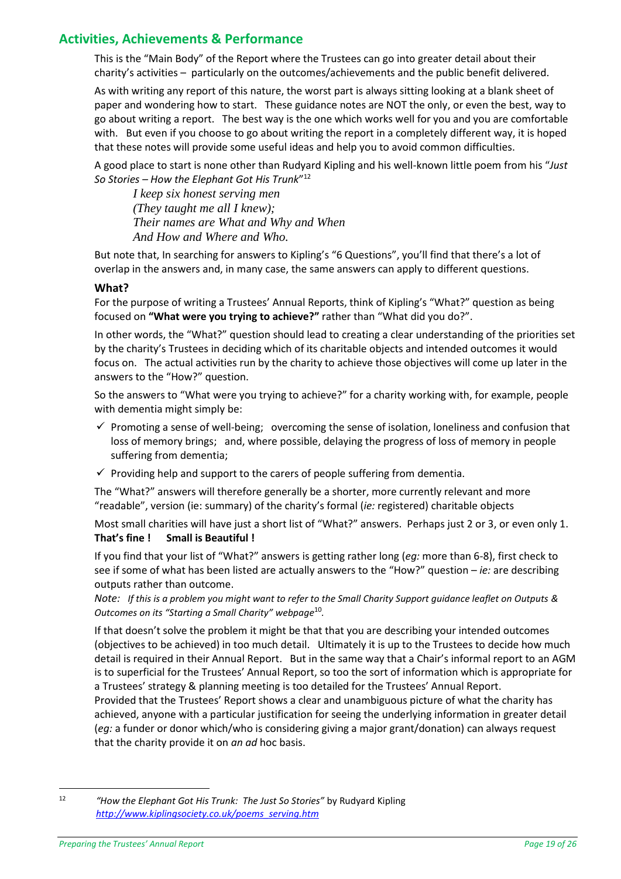# <span id="page-18-0"></span>**Activities, Achievements & Performance**

This is the "Main Body" of the Report where the Trustees can go into greater detail about their charity's activities – particularly on the outcomes/achievements and the public benefit delivered.

As with writing any report of this nature, the worst part is always sitting looking at a blank sheet of paper and wondering how to start. These guidance notes are NOT the only, or even the best, way to go about writing a report. The best way is the one which works well for you and you are comfortable with. But even if you choose to go about writing the report in a completely different way, it is hoped that these notes will provide some useful ideas and help you to avoid common difficulties.

A good place to start is none other than Rudyard Kipling and his well-known little poem from his "*Just So Stories – How the Elephant Got His Trunk*" 12

*I keep six honest serving men (They taught me all I knew); Their names are What and Why and When And How and Where and Who.*

But note that, In searching for answers to Kipling's "6 Questions", you'll find that there's a lot of overlap in the answers and, in many case, the same answers can apply to different questions.

#### **What?**

For the purpose of writing a Trustees' Annual Reports, think of Kipling's "What?" question as being focused on **"What were you trying to achieve?"** rather than "What did you do?".

In other words, the "What?" question should lead to creating a clear understanding of the priorities set by the charity's Trustees in deciding which of its charitable objects and intended outcomes it would focus on. The actual activities run by the charity to achieve those objectives will come up later in the answers to the "How?" question.

So the answers to "What were you trying to achieve?" for a charity working with, for example, people with dementia might simply be:

- $\checkmark$  Promoting a sense of well-being; overcoming the sense of isolation, loneliness and confusion that loss of memory brings; and, where possible, delaying the progress of loss of memory in people suffering from dementia;
- $\checkmark$  Providing help and support to the carers of people suffering from dementia.

The "What?" answers will therefore generally be a shorter, more currently relevant and more "readable", version (ie: summary) of the charity's formal (*ie:* registered) charitable objects

Most small charities will have just a short list of "What?" answers. Perhaps just 2 or 3, or even only 1. **That's fine ! Small is Beautiful !**

If you find that your list of "What?" answers is getting rather long (*eg:* more than 6-8), first check to see if some of what has been listed are actually answers to the "How?" question – *ie:* are describing outputs rather than outcome.

*Note: If this is a problem you might want to refer to the Small Charity Support guidance leaflet on Outputs & Outcomes on its "Starting a Small Charity" webpage*[10](#page-14-5) *.*

If that doesn't solve the problem it might be that that you are describing your intended outcomes (objectives to be achieved) in too much detail. Ultimately it is up to the Trustees to decide how much detail is required in their Annual Report. But in the same way that a Chair's informal report to an AGM is to superficial for the Trustees' Annual Report, so too the sort of information which is appropriate for a Trustees' strategy & planning meeting is too detailed for the Trustees' Annual Report.

Provided that the Trustees' Report shows a clear and unambiguous picture of what the charity has achieved, anyone with a particular justification for seeing the underlying information in greater detail (*eg:* a funder or donor which/who is considering giving a major grant/donation) can always request that the charity provide it on *an ad* hoc basis.

<sup>12</sup> *"How the Elephant Got His Trunk: The Just So Stories"* by Rudyard Kipling *[http://www.kiplingsociety.co.uk/poems\\_serving.htm](http://www.kiplingsociety.co.uk/poems_serving.htm)*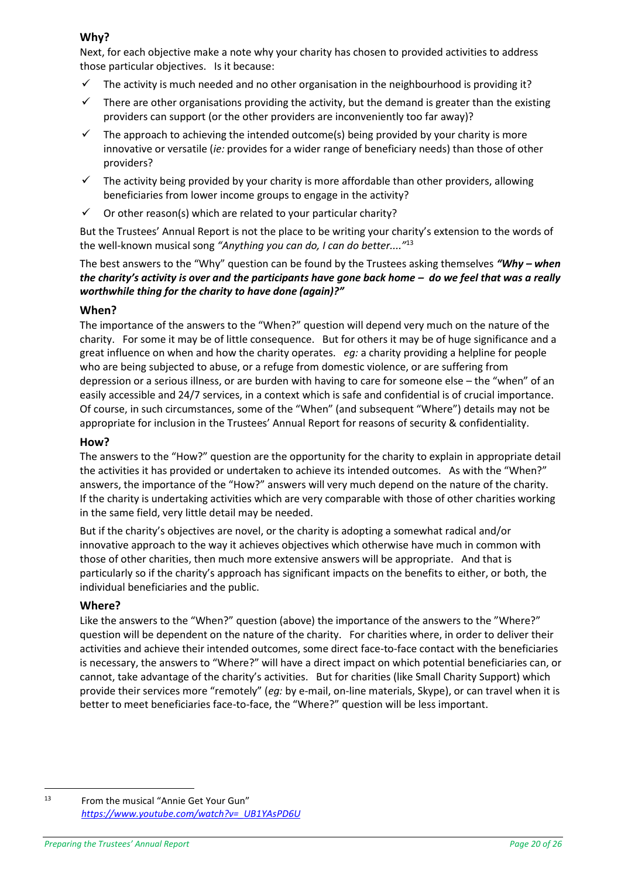### **Why?**

Next, for each objective make a note why your charity has chosen to provided activities to address those particular objectives. Is it because:

- The activity is much needed and no other organisation in the neighbourhood is providing it?
- $\checkmark$  There are other organisations providing the activity, but the demand is greater than the existing providers can support (or the other providers are inconveniently too far away)?
- $\checkmark$  The approach to achieving the intended outcome(s) being provided by your charity is more innovative or versatile (*ie:* provides for a wider range of beneficiary needs) than those of other providers?
- The activity being provided by your charity is more affordable than other providers, allowing beneficiaries from lower income groups to engage in the activity?
- $\checkmark$  Or other reason(s) which are related to your particular charity?

But the Trustees' Annual Report is not the place to be writing your charity's extension to the words of the well-known musical song *"Anything you can do, I can do better...."*<sup>13</sup>

The best answers to the "Why" question can be found by the Trustees asking themselves *"Why – when the charity's activity is over and the participants have gone back home – do we feel that was a really worthwhile thing for the charity to have done (again)?"*

#### **When?**

The importance of the answers to the "When?" question will depend very much on the nature of the charity. For some it may be of little consequence. But for others it may be of huge significance and a great influence on when and how the charity operates. *eg:* a charity providing a helpline for people who are being subjected to abuse, or a refuge from domestic violence, or are suffering from depression or a serious illness, or are burden with having to care for someone else – the "when" of an easily accessible and 24/7 services, in a context which is safe and confidential is of crucial importance. Of course, in such circumstances, some of the "When" (and subsequent "Where") details may not be appropriate for inclusion in the Trustees' Annual Report for reasons of security & confidentiality.

#### **How?**

The answers to the "How?" question are the opportunity for the charity to explain in appropriate detail the activities it has provided or undertaken to achieve its intended outcomes. As with the "When?" answers, the importance of the "How?" answers will very much depend on the nature of the charity. If the charity is undertaking activities which are very comparable with those of other charities working in the same field, very little detail may be needed.

But if the charity's objectives are novel, or the charity is adopting a somewhat radical and/or innovative approach to the way it achieves objectives which otherwise have much in common with those of other charities, then much more extensive answers will be appropriate. And that is particularly so if the charity's approach has significant impacts on the benefits to either, or both, the individual beneficiaries and the public.

#### **Where?**

Like the answers to the "When?" question (above) the importance of the answers to the "Where?" question will be dependent on the nature of the charity. For charities where, in order to deliver their activities and achieve their intended outcomes, some direct face-to-face contact with the beneficiaries is necessary, the answers to "Where?" will have a direct impact on which potential beneficiaries can, or cannot, take advantage of the charity's activities. But for charities (like Small Charity Support) which provide their services more "remotely" (*eg:* by e-mail, on-line materials, Skype), or can travel when it is better to meet beneficiaries face-to-face, the "Where?" question will be less important.

 $\overline{a}$ 

<sup>13</sup> From the musical "Annie Get Your Gun" *[https://www.youtube.com/watch?v=\\_UB1YAsPD6U](https://www.youtube.com/watch?v=_UB1YAsPD6U)*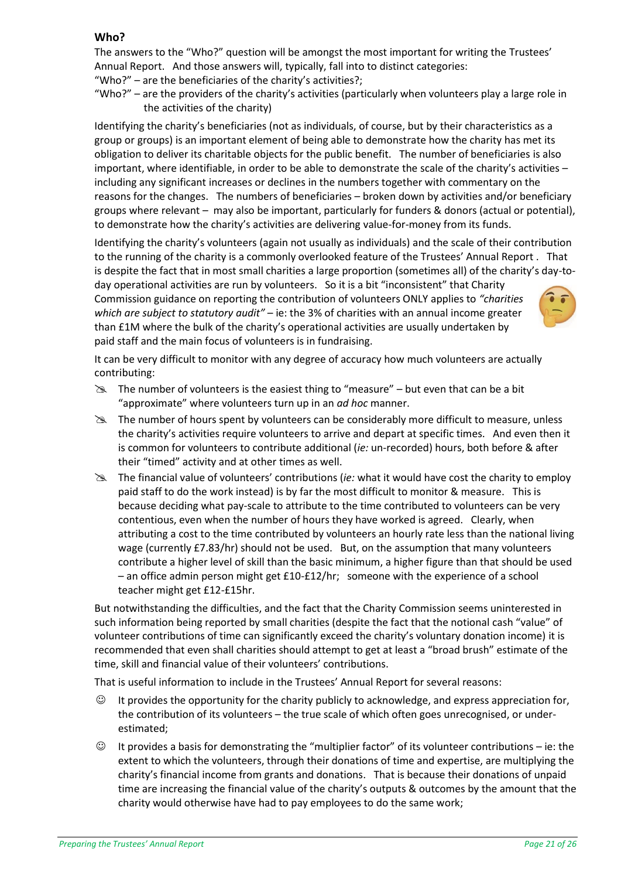#### **Who?**

The answers to the "Who?" question will be amongst the most important for writing the Trustees' Annual Report. And those answers will, typically, fall into to distinct categories:

"Who?" – are the beneficiaries of the charity's activities?;

"Who?" – are the providers of the charity's activities (particularly when volunteers play a large role in the activities of the charity)

Identifying the charity's beneficiaries (not as individuals, of course, but by their characteristics as a group or groups) is an important element of being able to demonstrate how the charity has met its obligation to deliver its charitable objects for the public benefit. The number of beneficiaries is also important, where identifiable, in order to be able to demonstrate the scale of the charity's activities – including any significant increases or declines in the numbers together with commentary on the reasons for the changes. The numbers of beneficiaries – broken down by activities and/or beneficiary groups where relevant – may also be important, particularly for funders & donors (actual or potential), to demonstrate how the charity's activities are delivering value-for-money from its funds.

Identifying the charity's volunteers (again not usually as individuals) and the scale of their contribution to the running of the charity is a commonly overlooked feature of the Trustees' Annual Report . That is despite the fact that in most small charities a large proportion (sometimes all) of the charity's day-today operational activities are run by volunteers. So it is a bit "inconsistent" that Charity Commission guidance on reporting the contribution of volunteers ONLY applies to *"charities which are subject to statutory audit"* – ie: the 3% of charities with an annual income greater than £1M where the bulk of the charity's operational activities are usually undertaken by paid staff and the main focus of volunteers is in fundraising.

It can be very difficult to monitor with any degree of accuracy how much volunteers are actually contributing:

- $\mathbb{R}$  The number of volunteers is the easiest thing to "measure" but even that can be a bit "approximate" where volunteers turn up in an *ad hoc* manner.
- The number of hours spent by volunteers can be considerably more difficult to measure, unless the charity's activities require volunteers to arrive and depart at specific times. And even then it is common for volunteers to contribute additional (*ie:* un-recorded) hours, both before & after their "timed" activity and at other times as well.
- The financial value of volunteers' contributions (*ie:* what it would have cost the charity to employ paid staff to do the work instead) is by far the most difficult to monitor & measure. This is because deciding what pay-scale to attribute to the time contributed to volunteers can be very contentious, even when the number of hours they have worked is agreed. Clearly, when attributing a cost to the time contributed by volunteers an hourly rate less than the national living wage (currently £7.83/hr) should not be used. But, on the assumption that many volunteers contribute a higher level of skill than the basic minimum, a higher figure than that should be used – an office admin person might get £10-£12/hr; someone with the experience of a school teacher might get £12-£15hr.

But notwithstanding the difficulties, and the fact that the Charity Commission seems uninterested in such information being reported by small charities (despite the fact that the notional cash "value" of volunteer contributions of time can significantly exceed the charity's voluntary donation income) it is recommended that even shall charities should attempt to get at least a "broad brush" estimate of the time, skill and financial value of their volunteers' contributions.

That is useful information to include in the Trustees' Annual Report for several reasons:

- ☺ It provides the opportunity for the charity publicly to acknowledge, and express appreciation for, the contribution of its volunteers – the true scale of which often goes unrecognised, or underestimated;
- ☺ It provides a basis for demonstrating the "multiplier factor" of its volunteer contributions ie: the extent to which the volunteers, through their donations of time and expertise, are multiplying the charity's financial income from grants and donations. That is because their donations of unpaid time are increasing the financial value of the charity's outputs & outcomes by the amount that the charity would otherwise have had to pay employees to do the same work;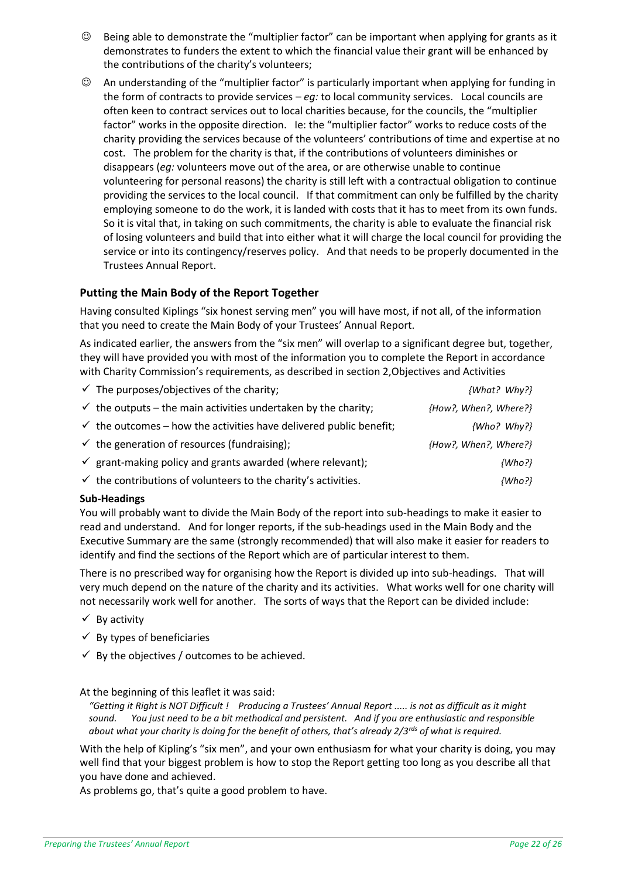- ☺ Being able to demonstrate the "multiplier factor" can be important when applying for grants as it demonstrates to funders the extent to which the financial value their grant will be enhanced by the contributions of the charity's volunteers;
- ☺ An understanding of the "multiplier factor" is particularly important when applying for funding in the form of contracts to provide services – *eg:* to local community services. Local councils are often keen to contract services out to local charities because, for the councils, the "multiplier factor" works in the opposite direction. Ie: the "multiplier factor" works to reduce costs of the charity providing the services because of the volunteers' contributions of time and expertise at no cost. The problem for the charity is that, if the contributions of volunteers diminishes or disappears (*eg:* volunteers move out of the area, or are otherwise unable to continue volunteering for personal reasons) the charity is still left with a contractual obligation to continue providing the services to the local council. If that commitment can only be fulfilled by the charity employing someone to do the work, it is landed with costs that it has to meet from its own funds. So it is vital that, in taking on such commitments, the charity is able to evaluate the financial risk of losing volunteers and build that into either what it will charge the local council for providing the service or into its contingency/reserves policy. And that needs to be properly documented in the Trustees Annual Report.

#### **Putting the Main Body of the Report Together**

Having consulted Kiplings "six honest serving men" you will have most, if not all, of the information that you need to create the Main Body of your Trustees' Annual Report.

As indicated earlier, the answers from the "six men" will overlap to a significant degree but, together, they will have provided you with most of the information you to complete the Report in accordance with Charity Commission's requirements, as described in section 2[,Objectives and Activities](#page-6-0)

| $\checkmark$ The purposes/objectives of the charity;                          | {What? Why?}          |
|-------------------------------------------------------------------------------|-----------------------|
| $\checkmark$ the outputs – the main activities undertaken by the charity;     | {How?, When?, Where?} |
| $\checkmark$ the outcomes – how the activities have delivered public benefit; | $\{Who? Why?\}$       |
| $\checkmark$ the generation of resources (fundraising);                       | {How?, When?, Where?} |
| $\checkmark$ grant-making policy and grants awarded (where relevant);         | $\{Who?\}$            |
| $\checkmark$ the contributions of volunteers to the charity's activities.     | $\{Who?\}$            |

#### **Sub-Headings**

You will probably want to divide the Main Body of the report into sub-headings to make it easier to read and understand. And for longer reports, if the sub-headings used in the Main Body and the Executive Summary are the same (strongly recommended) that will also make it easier for readers to identify and find the sections of the Report which are of particular interest to them.

There is no prescribed way for organising how the Report is divided up into sub-headings. That will very much depend on the nature of the charity and its activities. What works well for one charity will not necessarily work well for another. The sorts of ways that the Report can be divided include:

- $\checkmark$  By activity
- $\checkmark$  By types of beneficiaries
- $\checkmark$  By the objectives / outcomes to be achieved.

At the beginning of this leaflet it was said:

*"Getting it Right is NOT Difficult ! Producing a Trustees' Annual Report ..... is not as difficult as it might sound. You just need to be a bit methodical and persistent. And if you are enthusiastic and responsible about what your charity is doing for the benefit of others, that's already 2/3rds of what is required.*

With the help of Kipling's "six men", and your own enthusiasm for what your charity is doing, you may well find that your biggest problem is how to stop the Report getting too long as you describe all that you have done and achieved.

As problems go, that's quite a good problem to have.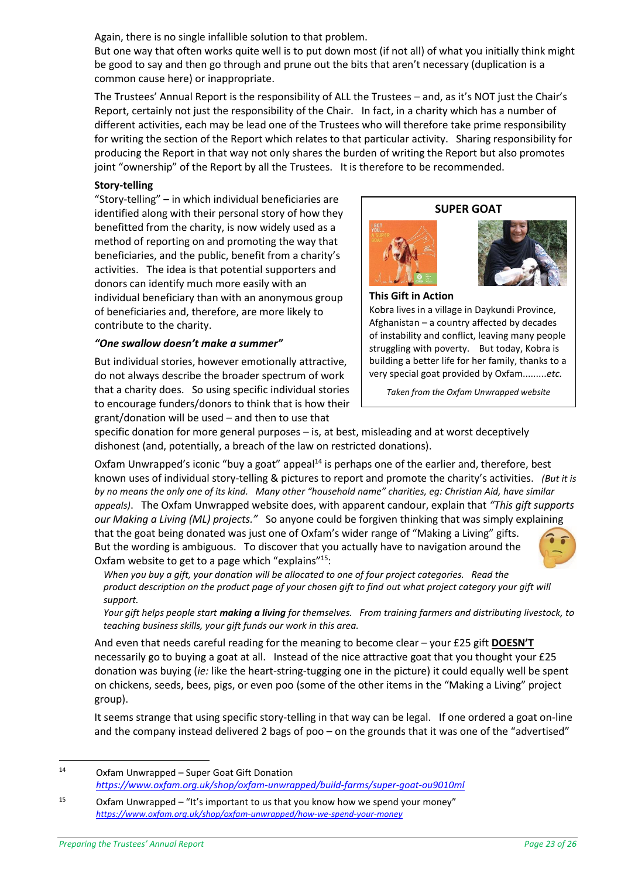Again, there is no single infallible solution to that problem.

But one way that often works quite well is to put down most (if not all) of what you initially think might be good to say and then go through and prune out the bits that aren't necessary (duplication is a common cause here) or inappropriate.

The Trustees' Annual Report is the responsibility of ALL the Trustees – and, as it's NOT just the Chair's Report, certainly not just the responsibility of the Chair. In fact, in a charity which has a number of different activities, each may be lead one of the Trustees who will therefore take prime responsibility for writing the section of the Report which relates to that particular activity. Sharing responsibility for producing the Report in that way not only shares the burden of writing the Report but also promotes joint "ownership" of the Report by all the Trustees. It is therefore to be recommended.

#### **Story-telling**

"Story-telling" – in which individual beneficiaries are identified along with their personal story of how they benefitted from the charity, is now widely used as a method of reporting on and promoting the way that beneficiaries, and the public, benefit from a charity's activities. The idea is that potential supporters and donors can identify much more easily with an individual beneficiary than with an anonymous group of beneficiaries and, therefore, are more likely to contribute to the charity.

#### *"One swallow doesn't make a summer"*

But individual stories, however emotionally attractive, do not always describe the broader spectrum of work that a charity does. So using specific individual stories to encourage funders/donors to think that is how their grant/donation will be used – and then to use that







**This Gift in Action m**

Kobra lives in a village in Daykundi Province, Afghanistan – a country affected by decades of instability and conflict, leaving many people struggling with poverty. But today, Kobra is building a better life for her family, thanks to a very special goat provided by Oxfam.........*etc.*

*Taken from the Oxfam Unwrapped website*

specific donation for more general purposes – is, at best, misleading and at worst deceptively dishonest (and, potentially, a breach of the law on restricted donations).

Oxfam Unwrapped's iconic "buy a goat" appeal<sup>14</sup> is perhaps one of the earlier and, therefore, best known uses of individual story-telling & pictures to report and promote the charity's activities. *(But it is by no means the only one of its kind. Many other "household name" charities, eg: Christian Aid, have similar appeals)*. The Oxfam Unwrapped website does, with apparent candour, explain that *"This gift supports our [Making a Living \(ML\) projects.](https://www.oxfam.org.uk/shop/oxfam-unwrapped/how-we-spend-your-money)"* So anyone could be forgiven thinking that was simply explaining that the goat being donated was just one of Oxfam's wider range of "Making a Living" gifts. But the wording is ambiguous. To discover that you actually have to navigation around the Oxfam website to get to a page which "explains"<sup>15</sup>:



*When you buy a gift, your donation will be allocated to one of four project categories. Read the product description on the product page of your chosen gift to find out what project category your gift will support.*

*Your gift helps people start making a living for themselves. From training farmers and distributing livestock, to teaching business skills, your gift funds our work in this area.*

And even that needs careful reading for the meaning to become clear – your £25 gift **DOESN'T** necessarily go to buying a goat at all. Instead of the nice attractive goat that you thought your £25 donation was buying (*ie:* like the heart-string-tugging one in the picture) it could equally well be spent on chickens, seeds, bees, pigs, or even poo (some of the other items in the "Making a Living" project group).

It seems strange that using specific story-telling in that way can be legal. If one ordered a goat on-line and the company instead delivered 2 bags of poo – on the grounds that it was one of the "advertised"

<sup>14</sup> Oxfam Unwrapped – Super Goat Gift Donation *<https://www.oxfam.org.uk/shop/oxfam-unwrapped/build-farms/super-goat-ou9010ml>*

<sup>&</sup>lt;sup>15</sup> Oxfam Unwrapped – "It's important to us that you know how we spend your money" *<https://www.oxfam.org.uk/shop/oxfam-unwrapped/how-we-spend-your-money>*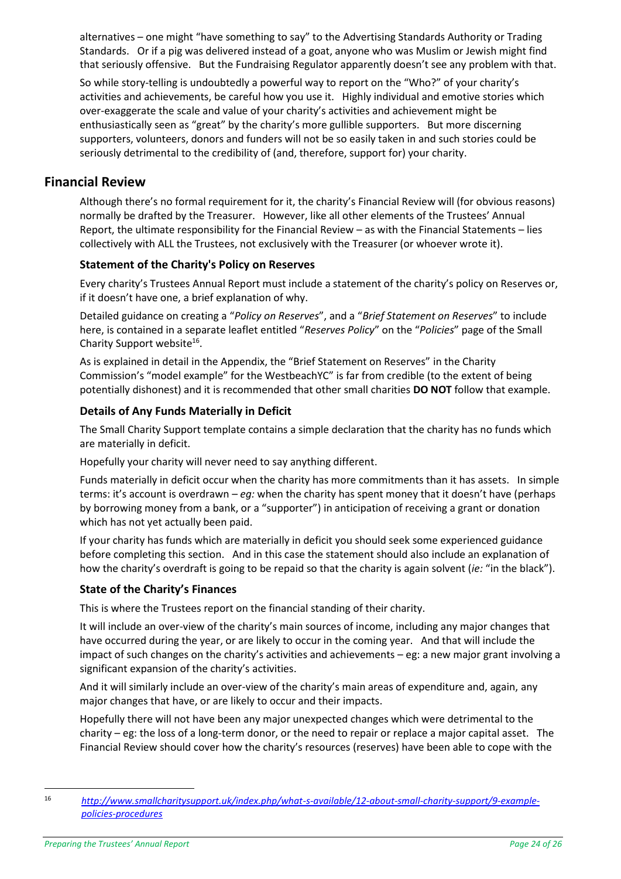alternatives – one might "have something to say" to the Advertising Standards Authority or Trading Standards. Or if a pig was delivered instead of a goat, anyone who was Muslim or Jewish might find that seriously offensive. But the Fundraising Regulator apparently doesn't see any problem with that.

So while story-telling is undoubtedly a powerful way to report on the "Who?" of your charity's activities and achievements, be careful how you use it. Highly individual and emotive stories which over-exaggerate the scale and value of your charity's activities and achievement might be enthusiastically seen as "great" by the charity's more gullible supporters. But more discerning supporters, volunteers, donors and funders will not be so easily taken in and such stories could be seriously detrimental to the credibility of (and, therefore, support for) your charity.

# <span id="page-23-0"></span>**Financial Review**

Although there's no formal requirement for it, the charity's Financial Review will (for obvious reasons) normally be drafted by the Treasurer. However, like all other elements of the Trustees' Annual Report, the ultimate responsibility for the Financial Review – as with the Financial Statements – lies collectively with ALL the Trustees, not exclusively with the Treasurer (or whoever wrote it).

#### <span id="page-23-1"></span>**Statement of the Charity's Policy on Reserves**

Every charity's Trustees Annual Report must include a statement of the charity's policy on Reserves or, if it doesn't have one, a brief explanation of why.

Detailed guidance on creating a "*Policy on Reserves*", and a "*Brief Statement on Reserves*" to include here, is contained in a separate leaflet entitled "*Reserves Policy*" on the "*Policies*" page of the Small Charity Support website<sup>16</sup>.

<span id="page-23-4"></span>As is explained in detail in the Appendix, the "Brief Statement on Reserves" in the Charity Commission's "model example" for the WestbeachYC" is far from credible (to the extent of being potentially dishonest) and it is recommended that other small charities **DO NOT** follow that example.

#### <span id="page-23-2"></span>**Details of Any Funds Materially in Deficit**

The Small Charity Support template contains a simple declaration that the charity has no funds which are materially in deficit.

Hopefully your charity will never need to say anything different.

Funds materially in deficit occur when the charity has more commitments than it has assets. In simple terms: it's account is overdrawn – *eg:* when the charity has spent money that it doesn't have (perhaps by borrowing money from a bank, or a "supporter") in anticipation of receiving a grant or donation which has not yet actually been paid.

If your charity has funds which are materially in deficit you should seek some experienced guidance before completing this section. And in this case the statement should also include an explanation of how the charity's overdraft is going to be repaid so that the charity is again solvent (*ie:* "in the black").

#### <span id="page-23-3"></span>**State of the Charity's Finances**

This is where the Trustees report on the financial standing of their charity.

It will include an over-view of the charity's main sources of income, including any major changes that have occurred during the year, or are likely to occur in the coming year. And that will include the impact of such changes on the charity's activities and achievements – eg: a new major grant involving a significant expansion of the charity's activities.

And it will similarly include an over-view of the charity's main areas of expenditure and, again, any major changes that have, or are likely to occur and their impacts.

Hopefully there will not have been any major unexpected changes which were detrimental to the charity – eg: the loss of a long-term donor, or the need to repair or replace a major capital asset. The Financial Review should cover how the charity's resources (reserves) have been able to cope with the

 $\overline{a}$ 

<sup>16</sup> *[http://www.smallcharitysupport.uk/index.php/what-s-available/12-about-small-charity-support/9-example](http://www.smallcharitysupport.uk/index.php/what-s-available/12-about-small-charity-support/9-example-policies-procedures)[policies-procedures](http://www.smallcharitysupport.uk/index.php/what-s-available/12-about-small-charity-support/9-example-policies-procedures)*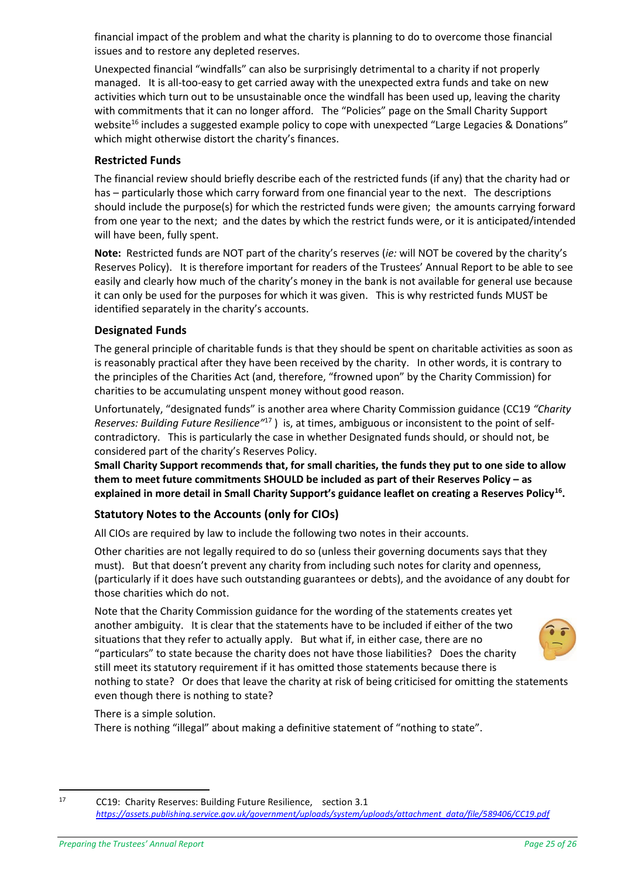financial impact of the problem and what the charity is planning to do to overcome those financial issues and to restore any depleted reserves.

Unexpected financial "windfalls" can also be surprisingly detrimental to a charity if not properly managed. It is all-too-easy to get carried away with the unexpected extra funds and take on new activities which turn out to be unsustainable once the windfall has been used up, leaving the charity with commitments that it can no longer afford. The "Policies" page on the Small Charity Support website<sup>[16](#page-23-4)</sup> includes a suggested example policy to cope with unexpected "Large Legacies & Donations" which might otherwise distort the charity's finances.

#### <span id="page-24-0"></span>**Restricted Funds**

The financial review should briefly describe each of the restricted funds (if any) that the charity had or has – particularly those which carry forward from one financial year to the next. The descriptions should include the purpose(s) for which the restricted funds were given; the amounts carrying forward from one year to the next; and the dates by which the restrict funds were, or it is anticipated/intended will have been, fully spent.

**Note:** Restricted funds are NOT part of the charity's reserves (*ie:* will NOT be covered by the charity's Reserves Policy). It is therefore important for readers of the Trustees' Annual Report to be able to see easily and clearly how much of the charity's money in the bank is not available for general use because it can only be used for the purposes for which it was given. This is why restricted funds MUST be identified separately in the charity's accounts.

#### <span id="page-24-1"></span>**Designated Funds**

The general principle of charitable funds is that they should be spent on charitable activities as soon as is reasonably practical after they have been received by the charity. In other words, it is contrary to the principles of the Charities Act (and, therefore, "frowned upon" by the Charity Commission) for charities to be accumulating unspent money without good reason.

Unfortunately, "designated funds" is another area where Charity Commission guidance (CC19 *"Charity Reserves: Building Future Resilience"*<sup>17</sup> ) is, at times, ambiguous or inconsistent to the point of selfcontradictory. This is particularly the case in whether Designated funds should, or should not, be considered part of the charity's Reserves Policy.

**Small Charity Support recommends that, for small charities, the funds they put to one side to allow them to meet future commitments SHOULD be included as part of their Reserves Policy – as explained in more detail in Small Charity Support's guidance leaflet on creating a Reserves Policy[16](#page-23-4) .**

# <span id="page-24-2"></span>**Statutory Notes to the Accounts (only for CIOs)**

All CIOs are required by law to include the following two notes in their accounts.

Other charities are not legally required to do so (unless their governing documents says that they must). But that doesn't prevent any charity from including such notes for clarity and openness, (particularly if it does have such outstanding guarantees or debts), and the avoidance of any doubt for those charities which do not.

Note that the Charity Commission guidance for the wording of the statements creates yet another ambiguity. It is clear that the statements have to be included if either of the two situations that they refer to actually apply. But what if, in either case, there are no "particulars" to state because the charity does not have those liabilities? Does the charity still meet its statutory requirement if it has omitted those statements because there is nothing to state? Or does that leave the charity at risk of being criticised for omitting the statements even though there is nothing to state?

# There is a simple solution.

There is nothing "illegal" about making a definitive statement of "nothing to state".

1



<sup>17</sup> CC19: Charity Reserves: Building Future Resilience, section 3.1 *[https://assets.publishing.service.gov.uk/government/uploads/system/uploads/attachment\\_data/file/589406/CC19.pdf](https://assets.publishing.service.gov.uk/government/uploads/system/uploads/attachment_data/file/589406/CC19.pdf)*